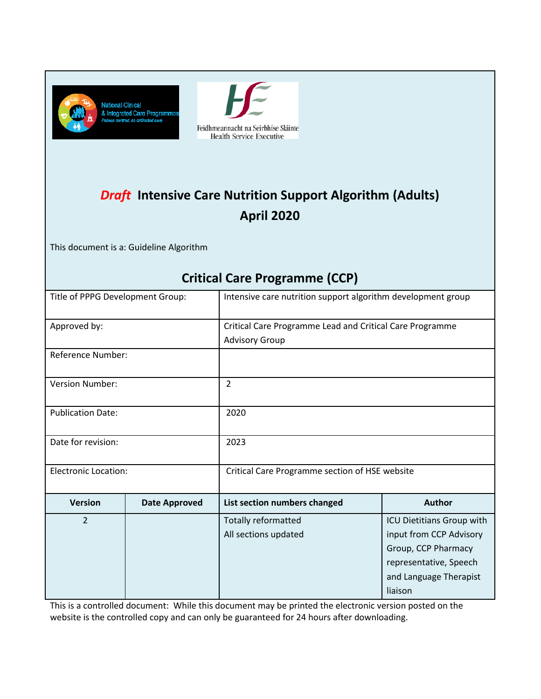



# *Draft* **Intensive Care Nutrition Support Algorithm (Adults) April 2020**

This document is a: Guideline Algorithm

## **Critical Care Programme (CCP)**

| Title of PPPG Development Group: |                      | Intensive care nutrition support algorithm development group |                                                                                                                                            |  |  |
|----------------------------------|----------------------|--------------------------------------------------------------|--------------------------------------------------------------------------------------------------------------------------------------------|--|--|
| Approved by:                     |                      | Critical Care Programme Lead and Critical Care Programme     |                                                                                                                                            |  |  |
| <b>Reference Number:</b>         |                      | <b>Advisory Group</b>                                        |                                                                                                                                            |  |  |
| Version Number:                  |                      | 2                                                            |                                                                                                                                            |  |  |
| <b>Publication Date:</b>         |                      | 2020                                                         |                                                                                                                                            |  |  |
| Date for revision:               |                      | 2023                                                         |                                                                                                                                            |  |  |
| <b>Electronic Location:</b>      |                      | Critical Care Programme section of HSE website               |                                                                                                                                            |  |  |
| <b>Version</b>                   | <b>Date Approved</b> | List section numbers changed                                 | <b>Author</b>                                                                                                                              |  |  |
| $\overline{2}$                   |                      | Totally reformatted<br>All sections updated                  | ICU Dietitians Group with<br>input from CCP Advisory<br>Group, CCP Pharmacy<br>representative, Speech<br>and Language Therapist<br>liaison |  |  |

This is a controlled document: While this document may be printed the electronic version posted on the website is the controlled copy and can only be guaranteed for 24 hours after downloading.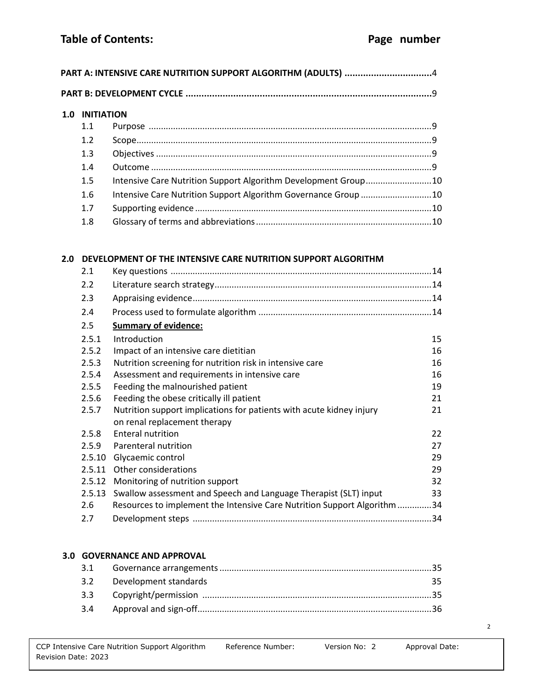| 1.1<br>1.2<br>1.3<br>1.4 |                                                                |  |
|--------------------------|----------------------------------------------------------------|--|
|                          |                                                                |  |
|                          |                                                                |  |
|                          |                                                                |  |
|                          |                                                                |  |
| 1.5                      | Intensive Care Nutrition Support Algorithm Development Group10 |  |
| 1.6                      | Intensive Care Nutrition Support Algorithm Governance Group 10 |  |
| 1.7                      |                                                                |  |
| 1.8                      |                                                                |  |

| 2. L   |                                                                         |    |
|--------|-------------------------------------------------------------------------|----|
| 2.2    |                                                                         |    |
| 2.3    |                                                                         |    |
| 2.4    |                                                                         |    |
| 2.5    | <b>Summary of evidence:</b>                                             |    |
| 2.5.1  | Introduction                                                            | 15 |
| 2.5.2  | Impact of an intensive care dietitian                                   | 16 |
| 2.5.3  | Nutrition screening for nutrition risk in intensive care                | 16 |
| 2.5.4  | Assessment and requirements in intensive care                           | 16 |
| 2.5.5  | Feeding the malnourished patient                                        | 19 |
| 2.5.6  | Feeding the obese critically ill patient                                | 21 |
| 2.5.7  | Nutrition support implications for patients with acute kidney injury    | 21 |
|        | on renal replacement therapy                                            |    |
| 2.5.8  | <b>Enteral nutrition</b>                                                | 22 |
| 2.5.9  | Parenteral nutrition                                                    | 27 |
| 2.5.10 | Glycaemic control                                                       | 29 |
| 2.5.11 | Other considerations                                                    | 29 |
| 2.5.12 | Monitoring of nutrition support                                         | 32 |
| 2.5.13 | Swallow assessment and Speech and Language Therapist (SLT) input        | 33 |
| 2.6    | Resources to implement the Intensive Care Nutrition Support Algorithm34 |    |
| 2.7    |                                                                         |    |

## **3.0 GOVERNANCE AND APPROVAL**

| 3.2 Development standards | 35. |
|---------------------------|-----|
|                           |     |
|                           |     |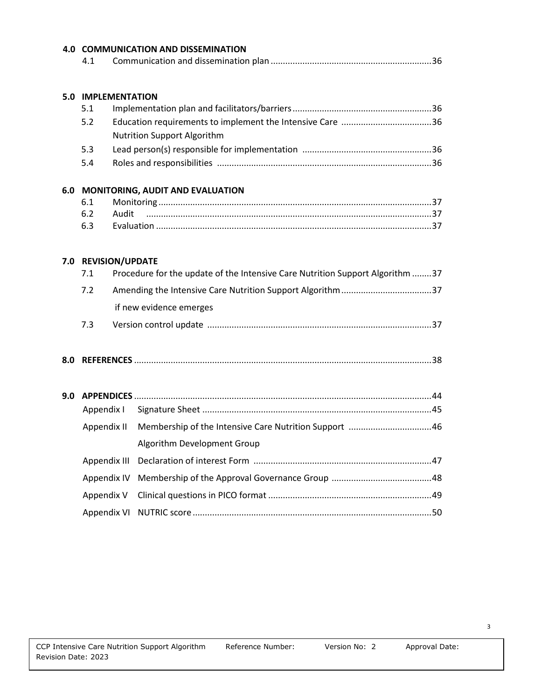|     |                            |       | <b>4.0 COMMUNICATION AND DISSEMINATION</b>                                    |  |
|-----|----------------------------|-------|-------------------------------------------------------------------------------|--|
|     | 4.1                        |       |                                                                               |  |
|     |                            |       |                                                                               |  |
|     | <b>5.0 IMPLEMENTATION</b>  |       |                                                                               |  |
|     | 5.1<br>5.2                 |       |                                                                               |  |
|     |                            |       | Nutrition Support Algorithm                                                   |  |
|     | 5.3                        |       |                                                                               |  |
|     | 5.4                        |       |                                                                               |  |
|     |                            |       |                                                                               |  |
|     | 6.1                        |       | 6.0 MONITORING, AUDIT AND EVALUATION                                          |  |
|     | 6.2                        | Audit |                                                                               |  |
|     | 6.3                        |       |                                                                               |  |
|     |                            |       |                                                                               |  |
|     | 7.0 REVISION/UPDATE<br>7.1 |       | Procedure for the update of the Intensive Care Nutrition Support Algorithm 37 |  |
|     |                            |       |                                                                               |  |
|     | 7.2                        |       | Amending the Intensive Care Nutrition Support Algorithm 37                    |  |
|     |                            |       | if new evidence emerges                                                       |  |
|     | 7.3                        |       |                                                                               |  |
| 8.0 |                            |       |                                                                               |  |
|     |                            |       |                                                                               |  |
| 9.0 |                            |       |                                                                               |  |
|     | Appendix I                 |       |                                                                               |  |
|     | Appendix II                |       |                                                                               |  |
|     |                            |       | Algorithm Development Group                                                   |  |
|     | Appendix III               |       |                                                                               |  |
|     | Appendix IV                |       |                                                                               |  |
|     | Appendix V                 |       |                                                                               |  |
|     | Appendix VI                |       |                                                                               |  |
|     |                            |       |                                                                               |  |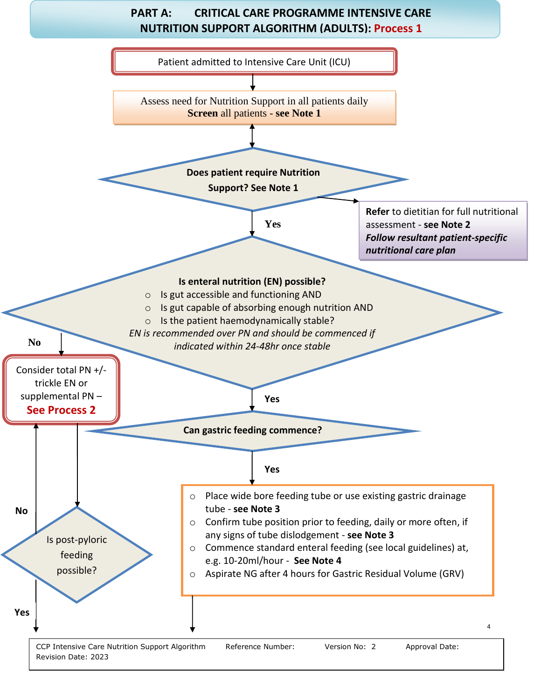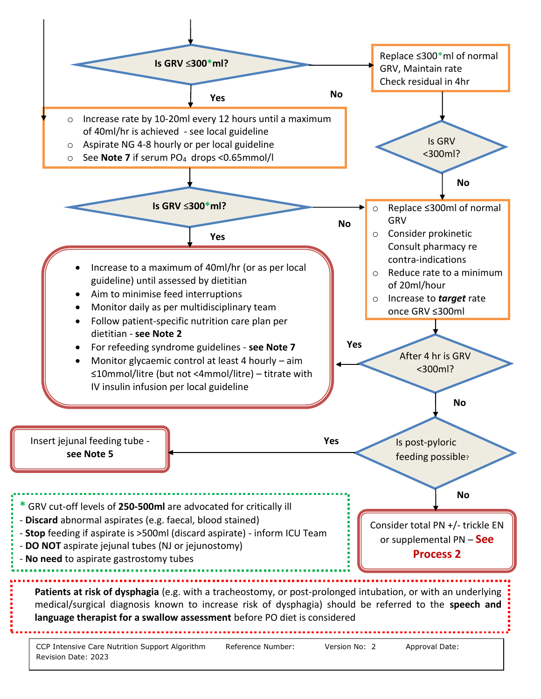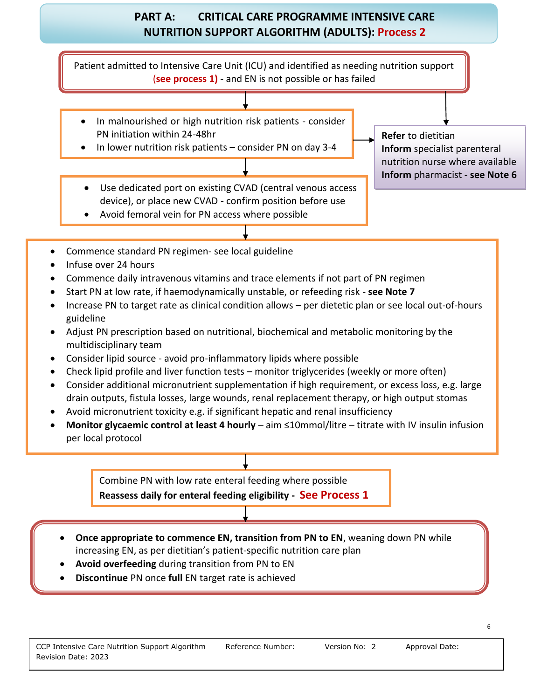## **PART A: CRITICAL CARE PROGRAMME INTENSIVE CARE NUTRITION SUPPORT ALGORITHM (ADULTS): Process 2**

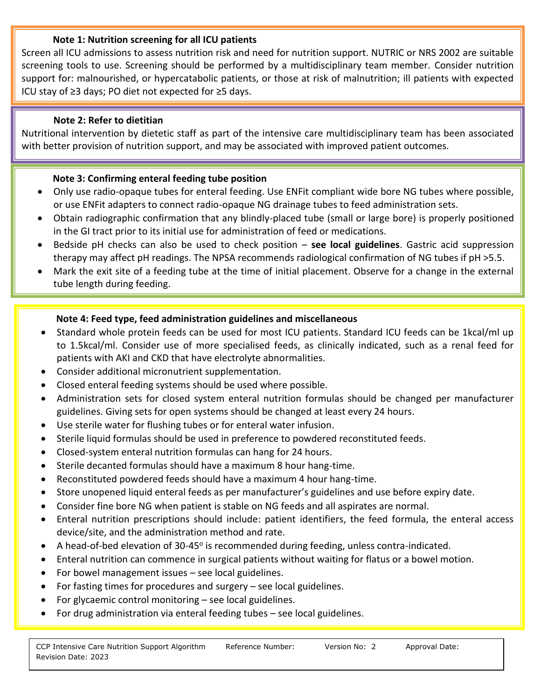#### **Note 1: Nutrition screening for all ICU patients**

Screen all ICU admissions to assess nutrition risk and need for nutrition support. NUTRIC or NRS 2002 are suitable screening tools to use. Screening should be performed by a multidisciplinary team member. Consider nutrition support for: malnourished, or hypercatabolic patients, or those at risk of malnutrition; ill patients with expected ICU stay of ≥3 days; PO diet not expected for ≥5 days.

### **Note 2: Refer to dietitian**

Nutritional intervention by dietetic staff as part of the intensive care multidisciplinary team has been associated with better provision of nutrition support, and may be associated with improved patient outcomes.

#### **Note 3: Confirming enteral feeding tube position**

- Only use radio-opaque tubes for enteral feeding. Use ENFit compliant wide bore NG tubes where possible, or use ENFit adapters to connect radio-opaque NG drainage tubes to feed administration sets.
- Obtain radiographic confirmation that any blindly-placed tube (small or large bore) is properly positioned in the GI tract prior to its initial use for administration of feed or medications.
- Bedside pH checks can also be used to check position **see local guidelines**. Gastric acid suppression therapy may affect pH readings. The NPSA recommends radiological confirmation of NG tubes if pH >5.5.
- Mark the exit site of a feeding tube at the time of initial placement. Observe for a change in the external tube length during feeding.

## **Note 4: Feed type, feed administration guidelines and miscellaneous**

- Standard whole protein feeds can be used for most ICU patients. Standard ICU feeds can be 1kcal/ml up to 1.5kcal/ml. Consider use of more specialised feeds, as clinically indicated, such as a renal feed for patients with AKI and CKD that have electrolyte abnormalities.
- Consider additional micronutrient supplementation.
- Closed enteral feeding systems should be used where possible.
- Administration sets for closed system enteral nutrition formulas should be changed per manufacturer guidelines. Giving sets for open systems should be changed at least every 24 hours.
- Use sterile water for flushing tubes or for enteral water infusion.
- Sterile liquid formulas should be used in preference to powdered reconstituted feeds.
- Closed-system enteral nutrition formulas can hang for 24 hours.
- Sterile decanted formulas should have a maximum 8 hour hang-time.
- Reconstituted powdered feeds should have a maximum 4 hour hang-time.
- Store unopened liquid enteral feeds as per manufacturer's guidelines and use before expiry date.
- Consider fine bore NG when patient is stable on NG feeds and all aspirates are normal.
- Enteral nutrition prescriptions should include: patient identifiers, the feed formula, the enteral access device/site, and the administration method and rate.
- A head-of-bed elevation of 30-45° is recommended during feeding, unless contra-indicated.
- Enteral nutrition can commence in surgical patients without waiting for flatus or a bowel motion.
- For bowel management issues see local guidelines.
- For fasting times for procedures and surgery see local guidelines.
- For glycaemic control monitoring see local guidelines.
- For drug administration via enteral feeding tubes see local guidelines.

7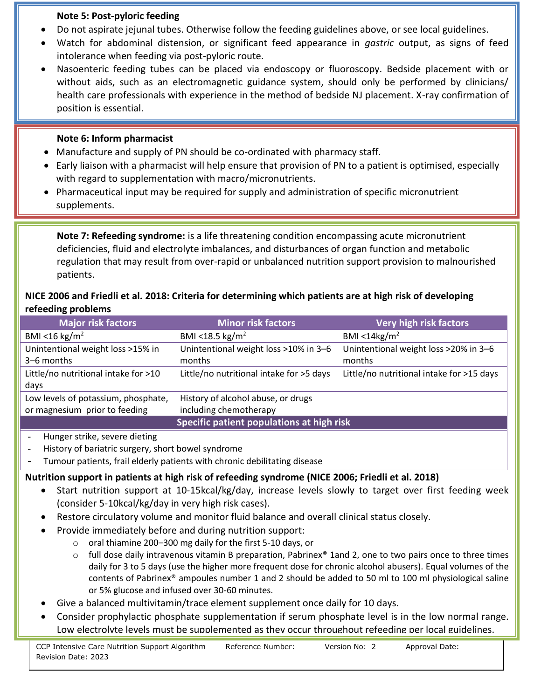#### **Note 5: Post-pyloric feeding**

- Do not aspirate jejunal tubes. Otherwise follow the feeding guidelines above, or see local guidelines.
- Watch for abdominal distension, or significant feed appearance in *gastric* output, as signs of feed intolerance when feeding via post-pyloric route.
- Nasoenteric feeding tubes can be placed via endoscopy or fluoroscopy. Bedside placement with or without aids, such as an electromagnetic guidance system, should only be performed by clinicians/ health care professionals with experience in the method of bedside NJ placement. X-ray confirmation of position is essential.

## **Note 6: Inform pharmacist**

- Manufacture and supply of PN should be co-ordinated with pharmacy staff.
- Early liaison with a pharmacist will help ensure that provision of PN to a patient is optimised, especially with regard to supplementation with macro/micronutrients.
- Pharmaceutical input may be required for supply and administration of specific micronutrient supplements.

**Note 7: Refeeding syndrome:** is a life threatening condition encompassing acute micronutrient deficiencies, fluid and electrolyte imbalances, and disturbances of organ function and metabolic regulation that may result from over-rapid or unbalanced nutrition support provision to malnourished patients.

## **NICE 2006 and Friedli et al. 2018: Criteria for determining which patients are at high risk of developing refeeding problems**

| <b>Major risk factors</b>            | <b>Minor risk factors</b>                 | <b>Very high risk factors</b>             |
|--------------------------------------|-------------------------------------------|-------------------------------------------|
| BMI <16 kg/m <sup>2</sup>            | BMI <18.5 kg/m <sup>2</sup>               | BMI < $14kg/m2$                           |
| Unintentional weight loss >15% in    | Unintentional weight loss >10% in 3-6     | Unintentional weight loss >20% in 3-6     |
| 3-6 months                           | months                                    | months                                    |
| Little/no nutritional intake for >10 | Little/no nutritional intake for >5 days  | Little/no nutritional intake for >15 days |
| days                                 |                                           |                                           |
| Low levels of potassium, phosphate,  | History of alcohol abuse, or drugs        |                                           |
| or magnesium prior to feeding        | including chemotherapy                    |                                           |
|                                      | Specific patient populations at high risk |                                           |
| Hunger strike, severe dieting        |                                           |                                           |

- History of bariatric surgery, short bowel syndrome
- Tumour patients, frail elderly patients with chronic debilitating disease

## **Nutrition support in patients at high risk of refeeding syndrome (NICE 2006; Friedli et al. 2018)**

- Start nutrition support at 10-15kcal/kg/day, increase levels slowly to target over first feeding week (consider 5-10kcal/kg/day in very high risk cases).
- Restore circulatory volume and monitor fluid balance and overall clinical status closely.
- Provide immediately before and during nutrition support:
	- o oral thiamine 200–300 mg daily for the first 5-10 days, or
	- $\circ$  full dose daily intravenous vitamin B preparation, Pabrinex® 1and 2, one to two pairs once to three times daily for 3 to 5 days (use the higher more frequent dose for chronic alcohol abusers). Equal volumes of the contents of Pabrinex® ampoules number 1 and 2 should be added to 50 ml to 100 ml physiological saline or 5% glucose and infused over 30-60 minutes.
- Give a balanced multivitamin/trace element supplement once daily for 10 days.
- Low electrolvte levels must be supplemented as thev occur throughout refeeding per local guidelines. • Consider prophylactic phosphate supplementation if serum phosphate level is in the low normal range.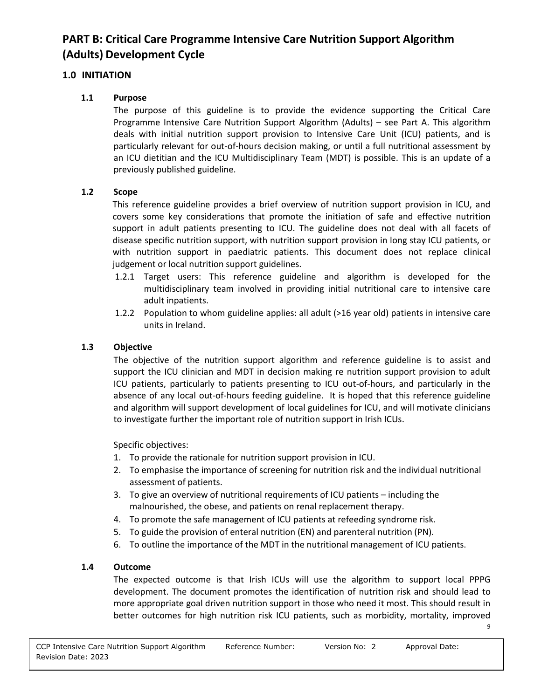## **PART B: Critical Care Programme Intensive Care Nutrition Support Algorithm (Adults) Development Cycle**

## **1.0 INITIATION**

## **1.1 Purpose**

The purpose of this guideline is to provide the evidence supporting the Critical Care Programme Intensive Care Nutrition Support Algorithm (Adults) – see Part A. This algorithm deals with initial nutrition support provision to Intensive Care Unit (ICU) patients, and is particularly relevant for out-of-hours decision making, or until a full nutritional assessment by an ICU dietitian and the ICU Multidisciplinary Team (MDT) is possible. This is an update of a previously published guideline.

#### **1.2 Scope**

This reference guideline provides a brief overview of nutrition support provision in ICU, and covers some key considerations that promote the initiation of safe and effective nutrition support in adult patients presenting to ICU. The guideline does not deal with all facets of disease specific nutrition support, with nutrition support provision in long stay ICU patients, or with nutrition support in paediatric patients. This document does not replace clinical judgement or local nutrition support guidelines.

- 1.2.1 Target users: This reference guideline and algorithm is developed for the multidisciplinary team involved in providing initial nutritional care to intensive care adult inpatients.
- 1.2.2 Population to whom guideline applies: all adult (>16 year old) patients in intensive care units in Ireland.

### **1.3 Objective**

The objective of the nutrition support algorithm and reference guideline is to assist and support the ICU clinician and MDT in decision making re nutrition support provision to adult ICU patients, particularly to patients presenting to ICU out-of-hours, and particularly in the absence of any local out-of-hours feeding guideline. It is hoped that this reference guideline and algorithm will support development of local guidelines for ICU, and will motivate clinicians to investigate further the important role of nutrition support in Irish ICUs.

Specific objectives:

- 1. To provide the rationale for nutrition support provision in ICU.
- 2. To emphasise the importance of screening for nutrition risk and the individual nutritional assessment of patients.
- 3. To give an overview of nutritional requirements of ICU patients including the malnourished, the obese, and patients on renal replacement therapy.
- 4. To promote the safe management of ICU patients at refeeding syndrome risk.
- 5. To guide the provision of enteral nutrition (EN) and parenteral nutrition (PN).
- 6. To outline the importance of the MDT in the nutritional management of ICU patients.

#### **1.4 Outcome**

The expected outcome is that Irish ICUs will use the algorithm to support local PPPG development. The document promotes the identification of nutrition risk and should lead to more appropriate goal driven nutrition support in those who need it most. This should result in better outcomes for high nutrition risk ICU patients, such as morbidity, mortality, improved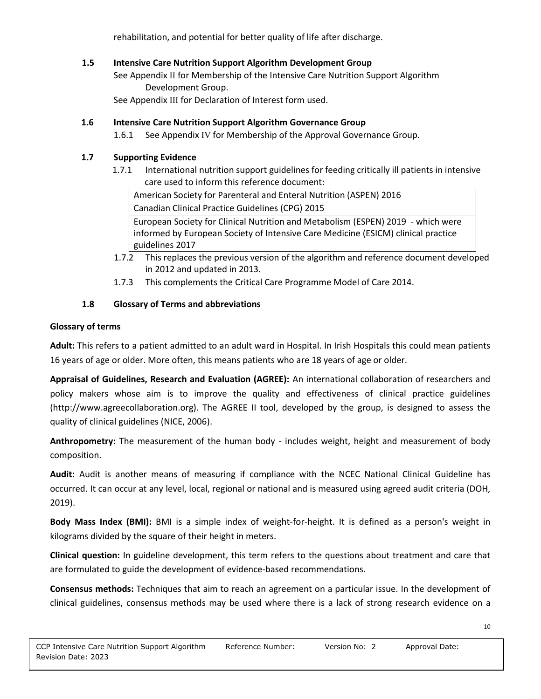rehabilitation, and potential for better quality of life after discharge.

## **1.5 Intensive Care Nutrition Support Algorithm Development Group**

See Appendix II for Membership of the Intensive Care Nutrition Support Algorithm Development Group.

See Appendix III for Declaration of Interest form used.

#### **1.6 Intensive Care Nutrition Support Algorithm Governance Group**

1.6.1 See Appendix IV for Membership of the Approval Governance Group.

## **1.7 Supporting Evidence**

1.7.1 International nutrition support guidelines for feeding critically ill patients in intensive care used to inform this reference document:

American Society for Parenteral and Enteral Nutrition (ASPEN) 2016

Canadian Clinical Practice Guidelines (CPG) 2015

European Society for Clinical Nutrition and Metabolism (ESPEN) 2019 - which were informed by European Society of Intensive Care Medicine (ESICM) clinical practice guidelines 2017

- 1.7.2 This replaces the previous version of the algorithm and reference document developed in 2012 and updated in 2013.
- 1.7.3 This complements the Critical Care Programme Model of Care 2014.

#### **1.8 Glossary of Terms and abbreviations**

#### **Glossary of terms**

**Adult:** This refers to a patient admitted to an adult ward in Hospital. In Irish Hospitals this could mean patients 16 years of age or older. More often, this means patients who are 18 years of age or older.

**Appraisal of Guidelines, Research and Evaluation (AGREE):** An international collaboration of researchers and policy makers whose aim is to improve the quality and effectiveness of clinical practice guidelines (http://www.agreecollaboration.org). The AGREE II tool, developed by the group, is designed to assess the quality of clinical guidelines (NICE, 2006).

**Anthropometry:** The measurement of the human body - includes weight, height and measurement of body composition.

**Audit:** Audit is another means of measuring if compliance with the NCEC National Clinical Guideline has occurred. It can occur at any level, local, regional or national and is measured using agreed audit criteria (DOH, 2019).

**Body Mass Index (BMI):** BMI is a simple index of weight-for-height. It is defined as a person's weight in kilograms divided by the square of their height in meters.

**Clinical question:** In guideline development, this term refers to the questions about treatment and care that are formulated to guide the development of evidence-based recommendations.

**Consensus methods:** Techniques that aim to reach an agreement on a particular issue. In the development of clinical guidelines, consensus methods may be used where there is a lack of strong research evidence on a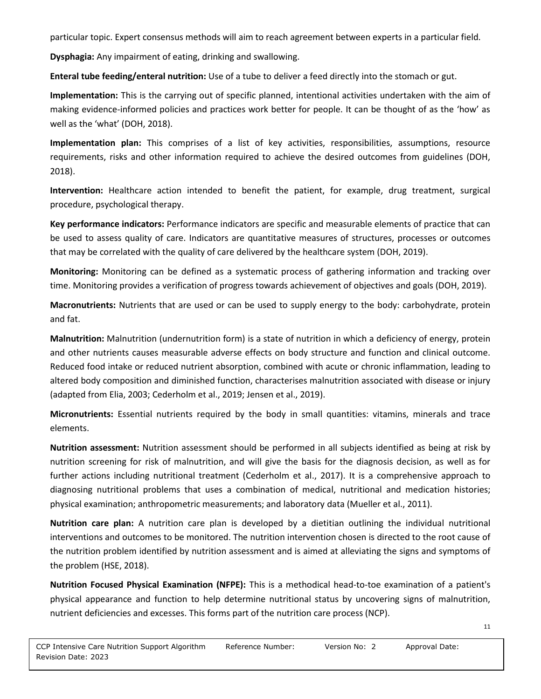particular topic. Expert consensus methods will aim to reach agreement between experts in a particular field.

**Dysphagia:** Any impairment of eating, drinking and swallowing.

**Enteral tube feeding/enteral nutrition:** Use of a tube to deliver a feed directly into the stomach or gut.

**Implementation:** This is the carrying out of specific planned, intentional activities undertaken with the aim of making evidence-informed policies and practices work better for people. It can be thought of as the 'how' as well as the 'what' (DOH, 2018).

**Implementation plan:** This comprises of a list of key activities, responsibilities, assumptions, resource requirements, risks and other information required to achieve the desired outcomes from guidelines (DOH, 2018).

**Intervention:** Healthcare action intended to benefit the patient, for example, drug treatment, surgical procedure, psychological therapy.

**Key performance indicators:** Performance indicators are specific and measurable elements of practice that can be used to assess quality of care. Indicators are quantitative measures of structures, processes or outcomes that may be correlated with the quality of care delivered by the healthcare system (DOH, 2019).

**Monitoring:** Monitoring can be defined as a systematic process of gathering information and tracking over time. Monitoring provides a verification of progress towards achievement of objectives and goals (DOH, 2019).

**Macronutrients:** Nutrients that are used or can be used to supply energy to the body: carbohydrate, protein and fat.

**Malnutrition:** Malnutrition (undernutrition form) is a state of nutrition in which a deficiency of energy, protein and other nutrients causes measurable adverse effects on body structure and function and clinical outcome. Reduced food intake or reduced nutrient absorption, combined with acute or chronic inflammation, leading to altered body composition and diminished function, characterises malnutrition associated with disease or injury (adapted from Elia, 2003; Cederholm et al., 2019; Jensen et al., 2019).

**Micronutrients:** Essential nutrients required by the body in small quantities: vitamins, minerals and trace elements.

**Nutrition assessment:** Nutrition assessment should be performed in all subjects identified as being at risk by nutrition screening for risk of malnutrition, and will give the basis for the diagnosis decision, as well as for further actions including nutritional treatment (Cederholm et al., 2017). It is a comprehensive approach to diagnosing nutritional problems that uses a combination of medical, nutritional and medication histories; physical examination; anthropometric measurements; and laboratory data (Mueller et al., 2011).

**Nutrition care plan:** A nutrition care plan is developed by a dietitian outlining the individual nutritional interventions and outcomes to be monitored. The nutrition intervention chosen is directed to the root cause of the nutrition problem identified by nutrition assessment and is aimed at alleviating the signs and symptoms of the problem (HSE, 2018).

**Nutrition Focused Physical Examination (NFPE):** This is a methodical head-to-toe examination of a patient's physical appearance and function to help determine nutritional status by uncovering signs of malnutrition, nutrient deficiencies and excesses. This forms part of the nutrition care process (NCP).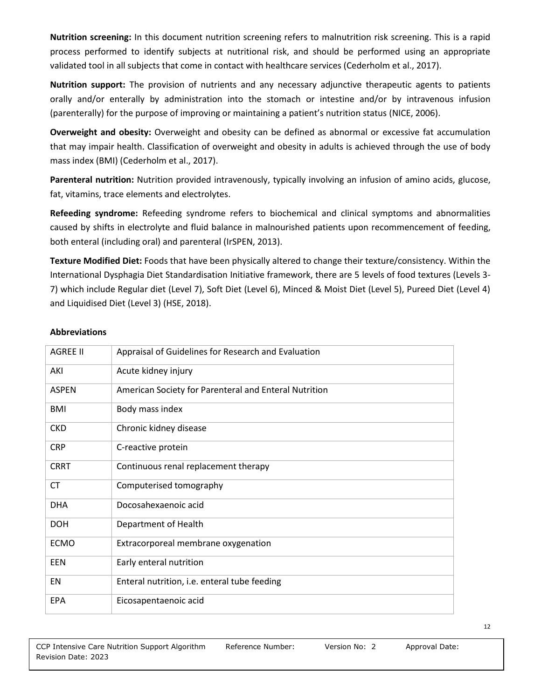**Nutrition screening:** In this document nutrition screening refers to malnutrition risk screening. This is a rapid process performed to identify subjects at nutritional risk, and should be performed using an appropriate validated tool in all subjects that come in contact with healthcare services (Cederholm et al., 2017).

**Nutrition support:** The provision of nutrients and any necessary adjunctive therapeutic agents to patients orally and/or enterally by administration into the stomach or intestine and/or by intravenous infusion (parenterally) for the purpose of improving or maintaining a patient's nutrition status (NICE, 2006).

**Overweight and obesity:** Overweight and obesity can be defined as abnormal or excessive fat accumulation that may impair health. Classification of overweight and obesity in adults is achieved through the use of body mass index (BMI) (Cederholm et al., 2017).

**Parenteral nutrition:** Nutrition provided intravenously, typically involving an infusion of amino acids, glucose, fat, vitamins, trace elements and electrolytes.

**Refeeding syndrome:** Refeeding syndrome refers to biochemical and clinical symptoms and abnormalities caused by shifts in electrolyte and fluid balance in malnourished patients upon recommencement of feeding, both enteral (including oral) and parenteral (IrSPEN, 2013).

**Texture Modified Diet:** Foods that have been physically altered to change their texture/consistency. Within the International Dysphagia Diet Standardisation Initiative framework, there are 5 levels of food textures (Levels 3- 7) which include Regular diet (Level 7), Soft Diet (Level 6), Minced & Moist Diet (Level 5), Pureed Diet (Level 4) and Liquidised Diet (Level 3) (HSE, 2018).

#### **Abbreviations**

| <b>AGREE II</b> | Appraisal of Guidelines for Research and Evaluation   |
|-----------------|-------------------------------------------------------|
| AKI             | Acute kidney injury                                   |
| <b>ASPEN</b>    | American Society for Parenteral and Enteral Nutrition |
| <b>BMI</b>      | Body mass index                                       |
| <b>CKD</b>      | Chronic kidney disease                                |
| <b>CRP</b>      | C-reactive protein                                    |
| <b>CRRT</b>     | Continuous renal replacement therapy                  |
| СT              | Computerised tomography                               |
| <b>DHA</b>      | Docosahexaenoic acid                                  |
| <b>DOH</b>      | Department of Health                                  |
| <b>ECMO</b>     | Extracorporeal membrane oxygenation                   |
| EEN             | Early enteral nutrition                               |
| EN              | Enteral nutrition, i.e. enteral tube feeding          |
| <b>EPA</b>      | Eicosapentaenoic acid                                 |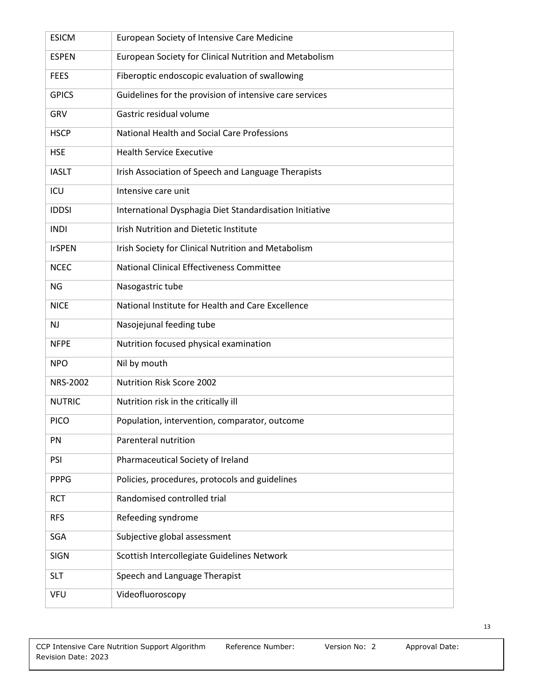| <b>ESICM</b>  | European Society of Intensive Care Medicine             |
|---------------|---------------------------------------------------------|
| <b>ESPEN</b>  | European Society for Clinical Nutrition and Metabolism  |
| <b>FEES</b>   | Fiberoptic endoscopic evaluation of swallowing          |
| <b>GPICS</b>  | Guidelines for the provision of intensive care services |
| GRV           | Gastric residual volume                                 |
| <b>HSCP</b>   | National Health and Social Care Professions             |
| <b>HSE</b>    | <b>Health Service Executive</b>                         |
| <b>IASLT</b>  | Irish Association of Speech and Language Therapists     |
| ICU           | Intensive care unit                                     |
| <b>IDDSI</b>  | International Dysphagia Diet Standardisation Initiative |
| <b>INDI</b>   | Irish Nutrition and Dietetic Institute                  |
| <b>IrSPEN</b> | Irish Society for Clinical Nutrition and Metabolism     |
| <b>NCEC</b>   | National Clinical Effectiveness Committee               |
| NG            | Nasogastric tube                                        |
| <b>NICE</b>   | National Institute for Health and Care Excellence       |
|               |                                                         |
| <b>NJ</b>     | Nasojejunal feeding tube                                |
| <b>NFPE</b>   | Nutrition focused physical examination                  |
| <b>NPO</b>    | Nil by mouth                                            |
| NRS-2002      | <b>Nutrition Risk Score 2002</b>                        |
| <b>NUTRIC</b> | Nutrition risk in the critically ill                    |
| <b>PICO</b>   | Population, intervention, comparator, outcome           |
| PN            | Parenteral nutrition                                    |
| PSI           | Pharmaceutical Society of Ireland                       |
| <b>PPPG</b>   | Policies, procedures, protocols and guidelines          |
| <b>RCT</b>    | Randomised controlled trial                             |
| <b>RFS</b>    | Refeeding syndrome                                      |
| SGA           | Subjective global assessment                            |
| <b>SIGN</b>   | Scottish Intercollegiate Guidelines Network             |
| <b>SLT</b>    | Speech and Language Therapist                           |
| <b>VFU</b>    | Videofluoroscopy                                        |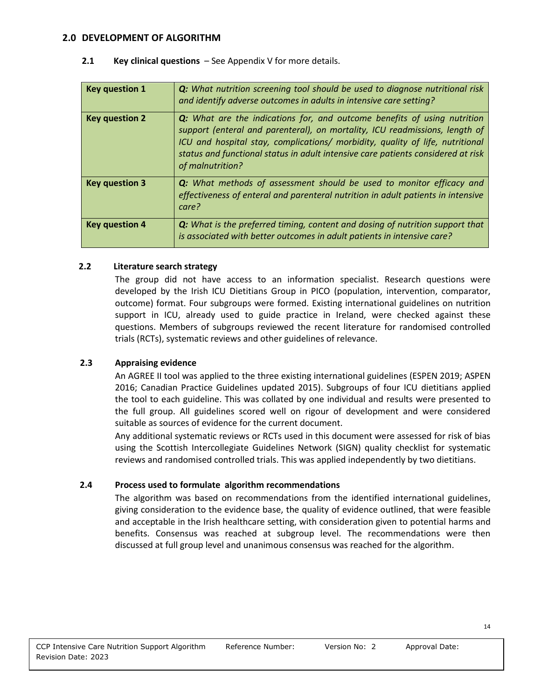#### **2.0 DEVELOPMENT OF ALGORITHM**

| <b>Key question 1</b> | <b>Q:</b> What nutrition screening tool should be used to diagnose nutritional risk<br>and identify adverse outcomes in adults in intensive care setting?                                                                                                                                                                                               |
|-----------------------|---------------------------------------------------------------------------------------------------------------------------------------------------------------------------------------------------------------------------------------------------------------------------------------------------------------------------------------------------------|
| <b>Key question 2</b> | <b>Q:</b> What are the indications for, and outcome benefits of using nutrition<br>support (enteral and parenteral), on mortality, ICU readmissions, length of<br>ICU and hospital stay, complications/ morbidity, quality of life, nutritional<br>status and functional status in adult intensive care patients considered at risk<br>of malnutrition? |
| <b>Key question 3</b> | Q: What methods of assessment should be used to monitor efficacy and<br>effectiveness of enteral and parenteral nutrition in adult patients in intensive<br>care?                                                                                                                                                                                       |
| <b>Key question 4</b> | <b>Q:</b> What is the preferred timing, content and dosing of nutrition support that<br>is associated with better outcomes in adult patients in intensive care?                                                                                                                                                                                         |

#### **2.1 Key clinical questions** – See Appendix V for more details.

#### **2.2 Literature search strategy**

The group did not have access to an information specialist. Research questions were developed by the Irish ICU Dietitians Group in PICO (population, intervention, comparator, outcome) format. Four subgroups were formed. Existing international guidelines on nutrition support in ICU, already used to guide practice in Ireland, were checked against these questions. Members of subgroups reviewed the recent literature for randomised controlled trials (RCTs), systematic reviews and other guidelines of relevance.

#### **2.3 Appraising evidence**

An AGREE II tool was applied to the three existing international guidelines (ESPEN 2019; ASPEN 2016; Canadian Practice Guidelines updated 2015). Subgroups of four ICU dietitians applied the tool to each guideline. This was collated by one individual and results were presented to the full group. All guidelines scored well on rigour of development and were considered suitable as sources of evidence for the current document.

Any additional systematic reviews or RCTs used in this document were assessed for risk of bias using the Scottish Intercollegiate Guidelines Network (SIGN) quality checklist for systematic reviews and randomised controlled trials. This was applied independently by two dietitians.

#### **2.4 Process used to formulate algorithm recommendations**

The algorithm was based on recommendations from the identified international guidelines, giving consideration to the evidence base, the quality of evidence outlined, that were feasible and acceptable in the Irish healthcare setting, with consideration given to potential harms and benefits. Consensus was reached at subgroup level. The recommendations were then discussed at full group level and unanimous consensus was reached for the algorithm.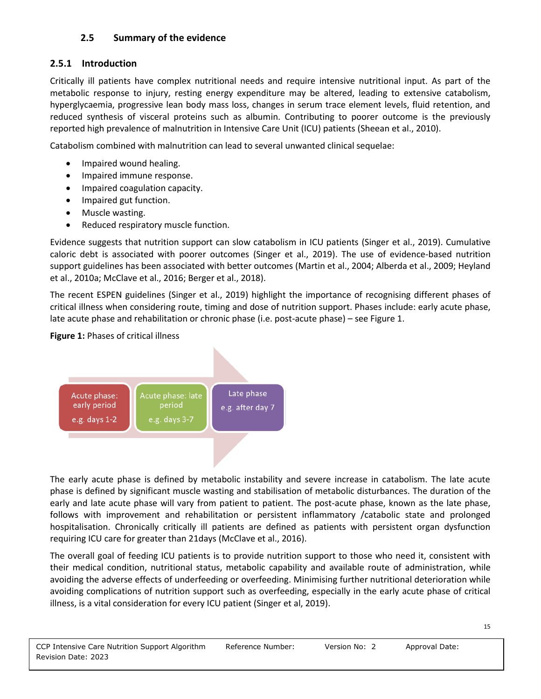## **2.5 Summary of the evidence**

## **2.5.1 Introduction**

Critically ill patients have complex nutritional needs and require intensive nutritional input. As part of the metabolic response to injury, resting energy expenditure may be altered, leading to extensive catabolism, hyperglycaemia, progressive lean body mass loss, changes in serum trace element levels, fluid retention, and reduced synthesis of visceral proteins such as albumin. Contributing to poorer outcome is the previously reported high prevalence of malnutrition in Intensive Care Unit (ICU) patients (Sheean et al., 2010).

Catabolism combined with malnutrition can lead to several unwanted clinical sequelae:

- Impaired wound healing.
- Impaired immune response.
- Impaired coagulation capacity.
- Impaired gut function.
- Muscle wasting.
- Reduced respiratory muscle function.

Evidence suggests that nutrition support can slow catabolism in ICU patients (Singer et al., 2019). Cumulative caloric debt is associated with poorer outcomes (Singer et al., 2019). The use of evidence-based nutrition support guidelines has been associated with better outcomes (Martin et al., 2004; Alberda et al., 2009; Heyland et al., 2010a; McClave et al., 2016; Berger et al., 2018).

The recent ESPEN guidelines (Singer et al., 2019) highlight the importance of recognising different phases of critical illness when considering route, timing and dose of nutrition support. Phases include: early acute phase, late acute phase and rehabilitation or chronic phase (i.e. post-acute phase) – see Figure 1.

## **Figure 1:** Phases of critical illness



The early acute phase is defined by metabolic instability and severe increase in catabolism. The late acute phase is defined by significant muscle wasting and stabilisation of metabolic disturbances. The duration of the early and late acute phase will vary from patient to patient. The post-acute phase, known as the late phase, follows with improvement and rehabilitation or persistent inflammatory /catabolic state and prolonged hospitalisation. Chronically critically ill patients are defined as patients with persistent organ dysfunction requiring ICU care for greater than 21days (McClave et al., 2016).

The overall goal of feeding ICU patients is to provide nutrition support to those who need it, consistent with their medical condition, nutritional status, metabolic capability and available route of administration, while avoiding the adverse effects of underfeeding or overfeeding. Minimising further nutritional deterioration while avoiding complications of nutrition support such as overfeeding, especially in the early acute phase of critical illness, is a vital consideration for every ICU patient (Singer et al, 2019).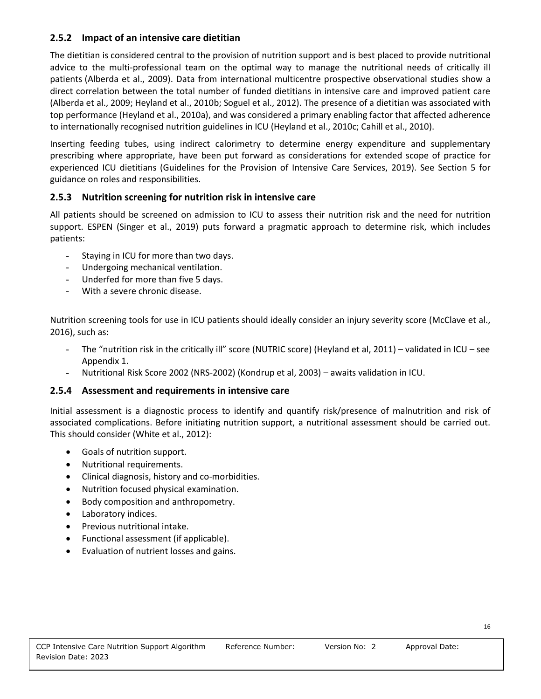#### **2.5.2 Impact of an intensive care dietitian**

The dietitian is considered central to the provision of nutrition support and is best placed to provide nutritional advice to the multi-professional team on the optimal way to manage the nutritional needs of critically ill patients (Alberda et al., 2009). Data from international multicentre prospective observational studies show a direct correlation between the total number of funded dietitians in intensive care and improved patient care (Alberda et al., 2009; Heyland et al., 2010b; Soguel et al., 2012). The presence of a dietitian was associated with top performance (Heyland et al., 2010a), and was considered a primary enabling factor that affected adherence to internationally recognised nutrition guidelines in ICU (Heyland et al., 2010c; Cahill et al., 2010).

Inserting feeding tubes, using indirect calorimetry to determine energy expenditure and supplementary prescribing where appropriate, have been put forward as considerations for extended scope of practice for experienced ICU dietitians (Guidelines for the Provision of Intensive Care Services, 2019). See Section 5 for guidance on roles and responsibilities.

## **2.5.3 Nutrition screening for nutrition risk in intensive care**

All patients should be screened on admission to ICU to assess their nutrition risk and the need for nutrition support. ESPEN (Singer et al., 2019) puts forward a pragmatic approach to determine risk, which includes patients:

- Staying in ICU for more than two days.
- Undergoing mechanical ventilation.
- Underfed for more than five 5 days.
- With a severe chronic disease.

Nutrition screening tools for use in ICU patients should ideally consider an injury severity score (McClave et al., 2016), such as:

- The "nutrition risk in the critically ill" score (NUTRIC score) (Heyland et al, 2011) validated in ICU see Appendix 1.
- Nutritional Risk Score 2002 (NRS-2002) (Kondrup et al, 2003) awaits validation in ICU.

#### **2.5.4 Assessment and requirements in intensive care**

Initial assessment is a diagnostic process to identify and quantify risk/presence of malnutrition and risk of associated complications. Before initiating nutrition support, a nutritional assessment should be carried out. This should consider (White et al., 2012):

- Goals of nutrition support.
- Nutritional requirements.
- Clinical diagnosis, history and co-morbidities.
- Nutrition focused physical examination.
- Body composition and anthropometry.
- Laboratory indices.
- Previous nutritional intake.
- Functional assessment (if applicable).
- Evaluation of nutrient losses and gains.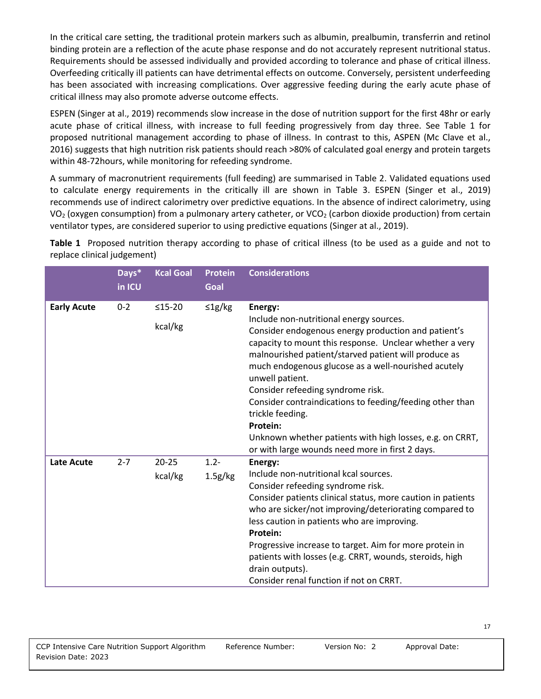In the critical care setting, the traditional protein markers such as albumin, prealbumin, transferrin and retinol binding protein are a reflection of the acute phase response and do not accurately represent nutritional status. Requirements should be assessed individually and provided according to tolerance and phase of critical illness. Overfeeding critically ill patients can have detrimental effects on outcome. Conversely, persistent underfeeding has been associated with increasing complications. Over aggressive feeding during the early acute phase of critical illness may also promote adverse outcome effects.

ESPEN (Singer at al., 2019) recommends slow increase in the dose of nutrition support for the first 48hr or early acute phase of critical illness, with increase to full feeding progressively from day three. See Table 1 for proposed nutritional management according to phase of illness. In contrast to this, ASPEN (Mc Clave et al., 2016) suggests that high nutrition risk patients should reach >80% of calculated goal energy and protein targets within 48-72hours, while monitoring for refeeding syndrome.

A summary of macronutrient requirements (full feeding) are summarised in Table 2. Validated equations used to calculate energy requirements in the critically ill are shown in Table 3. ESPEN (Singer et al., 2019) recommends use of indirect calorimetry over predictive equations. In the absence of indirect calorimetry, using VO<sub>2</sub> (oxygen consumption) from a pulmonary artery catheter, or VCO<sub>2</sub> (carbon dioxide production) from certain ventilator types, are considered superior to using predictive equations (Singer at al., 2019).

**Table 1** Proposed nutrition therapy according to phase of critical illness (to be used as a guide and not to replace clinical judgement)

|                    | Days*<br>in ICU | <b>Kcal Goal</b>     | <b>Protein</b><br>Goal | <b>Considerations</b>                                                                                                                                                                                                                                                                                                                                                                                                                                                                                                                                         |
|--------------------|-----------------|----------------------|------------------------|---------------------------------------------------------------------------------------------------------------------------------------------------------------------------------------------------------------------------------------------------------------------------------------------------------------------------------------------------------------------------------------------------------------------------------------------------------------------------------------------------------------------------------------------------------------|
| <b>Early Acute</b> | $0 - 2$         | $≤15-20$<br>kcal/kg  | $\leq$ 1g/kg           | Energy:<br>Include non-nutritional energy sources.<br>Consider endogenous energy production and patient's<br>capacity to mount this response. Unclear whether a very<br>malnourished patient/starved patient will produce as<br>much endogenous glucose as a well-nourished acutely<br>unwell patient.<br>Consider refeeding syndrome risk.<br>Consider contraindications to feeding/feeding other than<br>trickle feeding.<br><b>Protein:</b><br>Unknown whether patients with high losses, e.g. on CRRT,<br>or with large wounds need more in first 2 days. |
| Late Acute         | $2 - 7$         | $20 - 25$<br>kcal/kg | $1.2 -$<br>1.5g/kg     | Energy:<br>Include non-nutritional kcal sources.<br>Consider refeeding syndrome risk.<br>Consider patients clinical status, more caution in patients<br>who are sicker/not improving/deteriorating compared to<br>less caution in patients who are improving.<br>Protein:<br>Progressive increase to target. Aim for more protein in<br>patients with losses (e.g. CRRT, wounds, steroids, high<br>drain outputs).<br>Consider renal function if not on CRRT.                                                                                                 |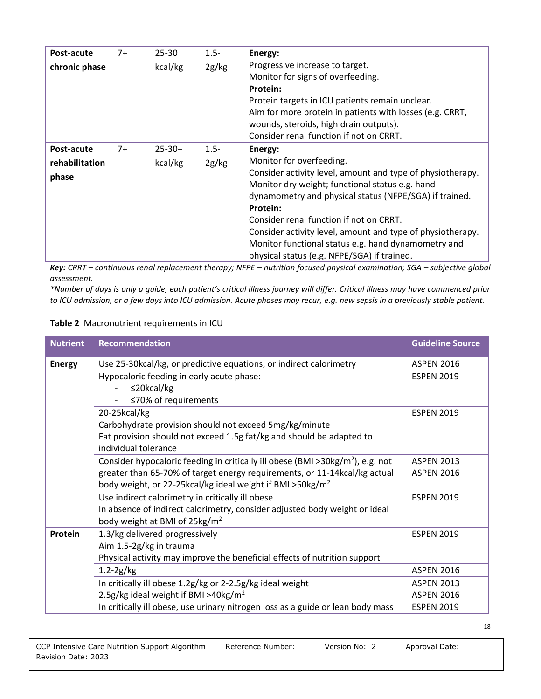| Post-acute<br>chronic phase           | $7+$ | $25 - 30$<br>kcal/kg   | $1.5 -$<br>2g/kg | Energy:<br>Progressive increase to target.<br>Monitor for signs of overfeeding.<br>Protein:<br>Protein targets in ICU patients remain unclear.<br>Aim for more protein in patients with losses (e.g. CRRT,                                                                                                                                                                                                                                |
|---------------------------------------|------|------------------------|------------------|-------------------------------------------------------------------------------------------------------------------------------------------------------------------------------------------------------------------------------------------------------------------------------------------------------------------------------------------------------------------------------------------------------------------------------------------|
|                                       |      |                        |                  | wounds, steroids, high drain outputs).<br>Consider renal function if not on CRRT.                                                                                                                                                                                                                                                                                                                                                         |
| Post-acute<br>rehabilitation<br>phase | $7+$ | $25 - 30 +$<br>kcal/kg | $1.5 -$<br>2g/kg | Energy:<br>Monitor for overfeeding.<br>Consider activity level, amount and type of physiotherapy.<br>Monitor dry weight; functional status e.g. hand<br>dynamometry and physical status (NFPE/SGA) if trained.<br>Protein:<br>Consider renal function if not on CRRT.<br>Consider activity level, amount and type of physiotherapy.<br>Monitor functional status e.g. hand dynamometry and<br>physical status (e.g. NFPE/SGA) if trained. |

*Key: CRRT – continuous renal replacement therapy; NFPE – nutrition focused physical examination; SGA – subjective global assessment.*

*\*Number of days is only a guide, each patient's critical illness journey will differ. Critical illness may have commenced prior to ICU admission, or a few days into ICU admission. Acute phases may recur, e.g. new sepsis in a previously stable patient.*

#### **Table 2** Macronutrient requirements in ICU

| <b>Nutrient</b> | Recommendation                                                                    | <b>Guideline Source</b> |
|-----------------|-----------------------------------------------------------------------------------|-------------------------|
| <b>Energy</b>   | Use 25-30kcal/kg, or predictive equations, or indirect calorimetry                | <b>ASPEN 2016</b>       |
|                 | Hypocaloric feeding in early acute phase:                                         | <b>ESPEN 2019</b>       |
|                 | $\leq$ 20kcal/kg                                                                  |                         |
|                 | ≤70% of requirements                                                              |                         |
|                 | 20-25kcal/kg                                                                      | <b>ESPEN 2019</b>       |
|                 | Carbohydrate provision should not exceed 5mg/kg/minute                            |                         |
|                 | Fat provision should not exceed 1.5g fat/kg and should be adapted to              |                         |
|                 | individual tolerance                                                              |                         |
|                 | Consider hypocaloric feeding in critically ill obese (BMI >30kg/ $m2$ ), e.g. not | <b>ASPEN 2013</b>       |
|                 | greater than 65-70% of target energy requirements, or 11-14kcal/kg actual         | <b>ASPEN 2016</b>       |
|                 | body weight, or 22-25kcal/kg ideal weight if BMI >50kg/m <sup>2</sup>             |                         |
|                 | Use indirect calorimetry in critically ill obese                                  | <b>ESPEN 2019</b>       |
|                 | In absence of indirect calorimetry, consider adjusted body weight or ideal        |                         |
|                 | body weight at BMI of $25\text{kg/m}^2$                                           |                         |
| Protein         | 1.3/kg delivered progressively                                                    | <b>ESPEN 2019</b>       |
|                 | Aim 1.5-2g/kg in trauma                                                           |                         |
|                 | Physical activity may improve the beneficial effects of nutrition support         |                         |
|                 | $1.2 - 2g/kg$                                                                     | <b>ASPEN 2016</b>       |
|                 | In critically ill obese 1.2g/kg or 2-2.5g/kg ideal weight                         | <b>ASPEN 2013</b>       |
|                 | 2.5g/kg ideal weight if BMI >40kg/m <sup>2</sup>                                  | <b>ASPEN 2016</b>       |
|                 | In critically ill obese, use urinary nitrogen loss as a guide or lean body mass   | <b>ESPEN 2019</b>       |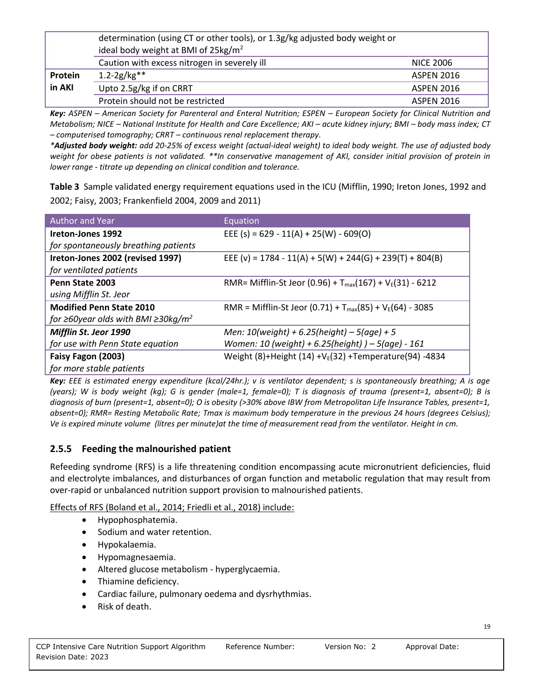|                                              | determination (using CT or other tools), or 1.3g/kg adjusted body weight or<br>ideal body weight at BMI of 25kg/m <sup>2</sup> |                   |
|----------------------------------------------|--------------------------------------------------------------------------------------------------------------------------------|-------------------|
| Caution with excess nitrogen in severely ill |                                                                                                                                | <b>NICE 2006</b>  |
| Protein                                      | $1.2 - 2g/kg**$                                                                                                                | <b>ASPEN 2016</b> |
| in AKI                                       | Upto 2.5g/kg if on CRRT                                                                                                        | <b>ASPEN 2016</b> |
|                                              | Protein should not be restricted                                                                                               | <b>ASPEN 2016</b> |

*Key: ASPEN – American Society for Parenteral and Enteral Nutrition; ESPEN – European Society for Clinical Nutrition and Metabolism; NICE – National Institute for Health and Care Excellence; AKI – acute kidney injury; BMI – body mass index; CT – computerised tomography; CRRT – continuous renal replacement therapy.*

*\*Adjusted body weight: add 20-25% of excess weight (actual-ideal weight) to ideal body weight. The use of adjusted body weight for obese patients is not validated. \*\*In conservative management of AKI, consider initial provision of protein in lower range - titrate up depending on clinical condition and tolerance.* 

**Table 3** Sample validated energy requirement equations used in the ICU (Mifflin, 1990; Ireton Jones, 1992 and 2002; Faisy, 2003; Frankenfield 2004, 2009 and 2011)

| Author and Year                                | Equation                                                      |
|------------------------------------------------|---------------------------------------------------------------|
| Ireton-Jones 1992                              | EEE (s) = $629 - 11(A) + 25(W) - 609(O)$                      |
| for spontaneously breathing patients           |                                                               |
| Ireton-Jones 2002 (revised 1997)               | EEE (v) = 1784 - 11(A) + 5(W) + 244(G) + 239(T) + 804(B)      |
| for ventilated patients                        |                                                               |
| Penn State 2003                                | RMR= Mifflin-St Jeor (0.96) + $T_{max}(167) + V_E(31) - 6212$ |
| using Mifflin St. Jeor                         |                                                               |
| <b>Modified Penn State 2010</b>                | RMR = Mifflin-St Jeor (0.71) + $T_{max}(85) + V_E(64) - 3085$ |
| for ≥60year olds with BMI ≥30kg/m <sup>2</sup> |                                                               |
| Mifflin St. Jeor 1990                          | Men: $10$ (weight) + 6.25(height) - 5(age) + 5                |
| for use with Penn State equation               | Women: 10 (weight) + 6.25(height) $-5$ (age) - 161            |
| Faisy Fagon (2003)                             | Weight (8)+Height (14) +V $_{E}$ (32) +Temperature(94) -4834  |
| for more stable patients                       |                                                               |

*Key: EEE is estimated energy expenditure (kcal/24hr.); v is ventilator dependent; s is spontaneously breathing; A is age (years); W is body weight (kg); G is gender (male=1, female=0); T is diagnosis of trauma (present=1, absent=0); B is diagnosis of burn (present=1, absent=0); O is obesity (>30% above IBW from Metropolitan Life Insurance Tables, present=1, absent=0); RMR= Resting Metabolic Rate; Tmax is maximum body temperature in the previous 24 hours (degrees Celsius); Ve is expired minute volume (litres per minute)at the time of measurement read from the ventilator. Height in cm.*

## **2.5.5 Feeding the malnourished patient**

Refeeding syndrome (RFS) is a life threatening condition encompassing acute micronutrient deficiencies, fluid and electrolyte imbalances, and disturbances of organ function and metabolic regulation that may result from over-rapid or unbalanced nutrition support provision to malnourished patients.

Effects of RFS (Boland et al., 2014; Friedli et al., 2018) include:

- Hypophosphatemia.
- Sodium and water retention.
- Hypokalaemia.
- Hypomagnesaemia.
- Altered glucose metabolism hyperglycaemia.
- Thiamine deficiency.
- Cardiac failure, pulmonary oedema and dysrhythmias.
- Risk of death.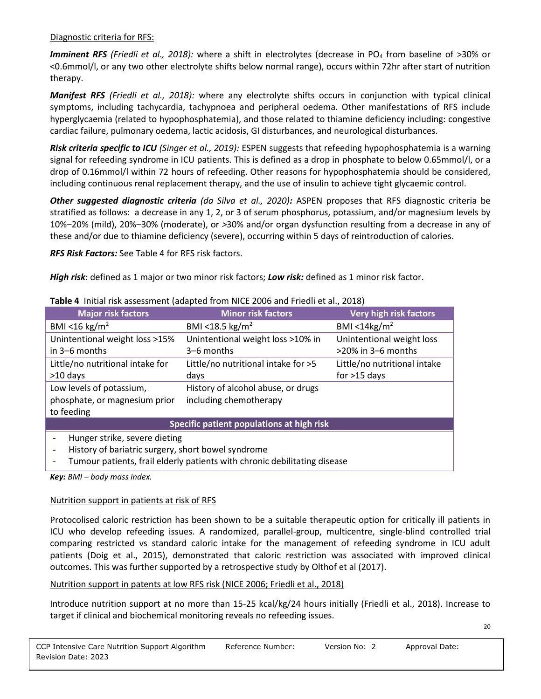#### Diagnostic criteria for RFS:

*Imminent RFS (Friedli et al., 2018):* where a shift in electrolytes (decrease in PO<sub>4</sub> from baseline of >30% or <0.6mmol/l, or any two other electrolyte shifts below normal range), occurs within 72hr after start of nutrition therapy.

*Manifest RFS (Friedli et al., 2018):* where any electrolyte shifts occurs in conjunction with typical clinical symptoms, including tachycardia, tachypnoea and peripheral oedema. Other manifestations of RFS include hyperglycaemia (related to hypophosphatemia), and those related to thiamine deficiency including: congestive cardiac failure, pulmonary oedema, lactic acidosis, GI disturbances, and neurological disturbances.

*Risk criteria specific to ICU (Singer et al., 2019):* ESPEN suggests that refeeding hypophosphatemia is a warning signal for refeeding syndrome in ICU patients. This is defined as a drop in phosphate to below 0.65mmol/l, or a drop of 0.16mmol/l within 72 hours of refeeding. Other reasons for hypophosphatemia should be considered, including continuous renal replacement therapy, and the use of insulin to achieve tight glycaemic control.

*Other suggested diagnostic criteria (da Silva et al., 2020):* ASPEN proposes that RFS diagnostic criteria be stratified as follows: a decrease in any 1, 2, or 3 of serum phosphorus, potassium, and/or magnesium levels by 10%–20% (mild), 20%–30% (moderate), or *>*30% and/or organ dysfunction resulting from a decrease in any of these and/or due to thiamine deficiency (severe), occurring within 5 days of reintroduction of calories.

*RFS Risk Factors:* See Table 4 for RFS risk factors.

*High risk*: defined as 1 major or two minor risk factors; *Low risk:* defined as 1 minor risk factor.

| <b>Table +</b> Thillar HSK assessment (adapted HOIH NICE 2000 and Friedir Ct al., 2010) |                                     |                              |  |
|-----------------------------------------------------------------------------------------|-------------------------------------|------------------------------|--|
| <b>Major risk factors</b>                                                               | <b>Minor risk factors</b>           | Very high risk factors       |  |
| BMI <16 kg/m <sup>2</sup>                                                               | BMI <18.5 kg/m <sup>2</sup>         | BMI <14kg/ $m2$              |  |
| Unintentional weight loss >15%                                                          | Unintentional weight loss >10% in   | Unintentional weight loss    |  |
| in 3–6 months                                                                           | 3–6 months                          | >20% in 3-6 months           |  |
| Little/no nutritional intake for                                                        | Little/no nutritional intake for >5 | Little/no nutritional intake |  |
| $>10$ days                                                                              | days                                | for $>15$ days               |  |
| Low levels of potassium,                                                                | History of alcohol abuse, or drugs  |                              |  |
| phosphate, or magnesium prior<br>including chemotherapy                                 |                                     |                              |  |
| to feeding                                                                              |                                     |                              |  |
| Specific patient populations at high risk                                               |                                     |                              |  |
| Hunger strike, severe dieting                                                           |                                     |                              |  |
| History of bariatric surgery, short bowel syndrome                                      |                                     |                              |  |
|                                                                                         |                                     |                              |  |

**Table 4** Initial risk assessment (adapted from NICE 2006 and Friedli et al., 2018)

- Tumour patients, frail elderly patients with chronic debilitating disease

*Key: BMI – body mass index.*

#### Nutrition support in patients at risk of RFS

Protocolised caloric restriction has been shown to be a suitable therapeutic option for critically ill patients in ICU who develop refeeding issues. A randomized, parallel-group, multicentre, single-blind controlled trial comparing restricted vs standard caloric intake for the management of refeeding syndrome in ICU adult patients (Doig et al., 2015), demonstrated that caloric restriction was associated with improved clinical outcomes. This was further supported by a retrospective study by Olthof et al (2017).

#### Nutrition support in patents at low RFS risk (NICE 2006; Friedli et al., 2018)

Introduce nutrition support at no more than 15-25 kcal/kg/24 hours initially (Friedli et al., 2018). Increase to target if clinical and biochemical monitoring reveals no refeeding issues.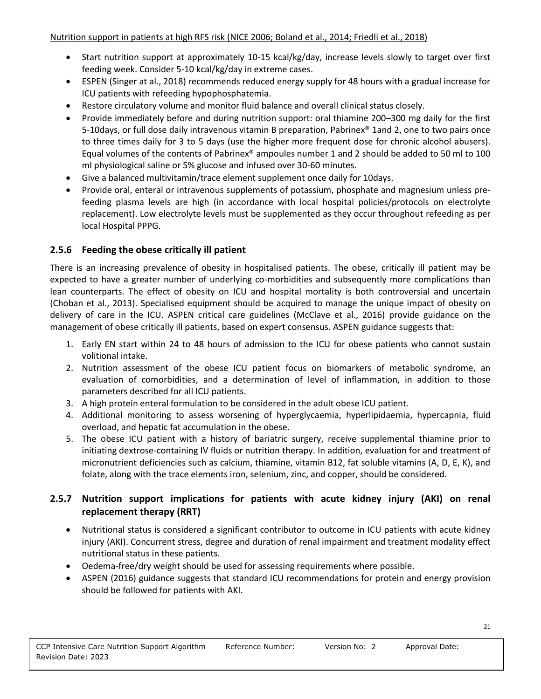- Start nutrition support at approximately 10-15 kcal/kg/day, increase levels slowly to target over first feeding week. Consider 5-10 kcal/kg/day in extreme cases.
- ESPEN (Singer at al., 2018) recommends reduced energy supply for 48 hours with a gradual increase for ICU patients with refeeding hypophosphatemia.
- Restore circulatory volume and monitor fluid balance and overall clinical status closely.
- Provide immediately before and during nutrition support: oral thiamine 200–300 mg daily for the first 5-10days, or full dose daily intravenous vitamin B preparation, Pabrinex® 1and 2, one to two pairs once to three times daily for 3 to 5 days (use the higher more frequent dose for chronic alcohol abusers). Equal volumes of the contents of Pabrinex® ampoules number 1 and 2 should be added to 50 ml to 100 ml physiological saline or 5% glucose and infused over 30-60 minutes.
- Give a balanced multivitamin/trace element supplement once daily for 10days.
- Provide oral, enteral or intravenous supplements of potassium, phosphate and magnesium unless prefeeding plasma levels are high (in accordance with local hospital policies/protocols on electrolyte replacement). Low electrolyte levels must be supplemented as they occur throughout refeeding as per local Hospital PPPG.

## **2.5.6 Feeding the obese critically ill patient**

There is an increasing prevalence of obesity in hospitalised patients. The obese, critically ill patient may be expected to have a greater number of underlying co-morbidities and subsequently more complications than lean counterparts. The effect of obesity on ICU and hospital mortality is both controversial and uncertain (Choban et al., 2013). Specialised equipment should be acquired to manage the unique impact of obesity on delivery of care in the ICU. ASPEN critical care guidelines (McClave et al., 2016) provide guidance on the management of obese critically ill patients, based on expert consensus. ASPEN guidance suggests that:

- 1. Early EN start within 24 to 48 hours of admission to the ICU for obese patients who cannot sustain volitional intake.
- 2. Nutrition assessment of the obese ICU patient focus on biomarkers of metabolic syndrome, an evaluation of comorbidities, and a determination of level of inflammation, in addition to those parameters described for all ICU patients.
- 3. A high protein enteral formulation to be considered in the adult obese ICU patient.
- 4. Additional monitoring to assess worsening of hyperglycaemia, hyperlipidaemia, hypercapnia, fluid overload, and hepatic fat accumulation in the obese.
- 5. The obese ICU patient with a history of bariatric surgery, receive supplemental thiamine prior to initiating dextrose-containing IV fluids or nutrition therapy. In addition, evaluation for and treatment of micronutrient deficiencies such as calcium, thiamine, vitamin B12, fat soluble vitamins (A, D, E, K), and folate, along with the trace elements iron, selenium, zinc, and copper, should be considered.

## **2.5.7 Nutrition support implications for patients with acute kidney injury (AKI) on renal replacement therapy (RRT)**

- Nutritional status is considered a significant contributor to outcome in ICU patients with acute kidney injury (AKI). Concurrent stress, degree and duration of renal impairment and treatment modality effect nutritional status in these patients.
- Oedema-free/dry weight should be used for assessing requirements where possible.
- ASPEN (2016) guidance suggests that standard ICU recommendations for protein and energy provision should be followed for patients with AKI.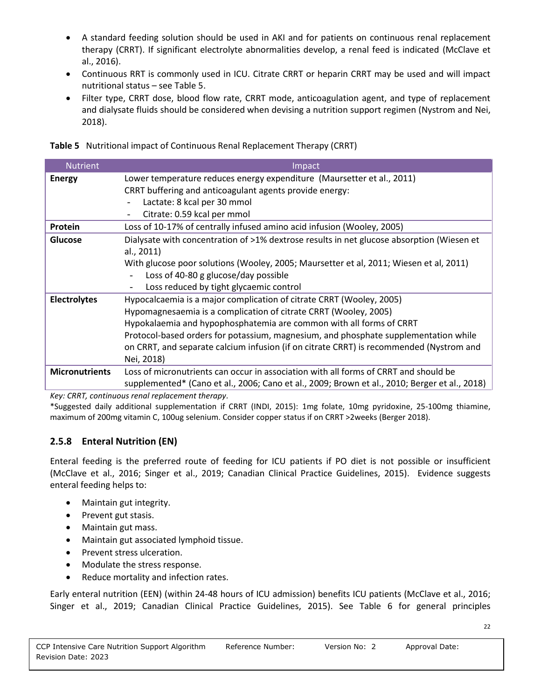- A standard feeding solution should be used in AKI and for patients on continuous renal replacement therapy (CRRT). If significant electrolyte abnormalities develop, a renal feed is indicated (McClave et al., 2016).
- Continuous RRT is commonly used in ICU. Citrate CRRT or heparin CRRT may be used and will impact nutritional status – see Table 5.
- Filter type, CRRT dose, blood flow rate, CRRT mode, anticoagulation agent, and type of replacement and dialysate fluids should be considered when devising a nutrition support regimen (Nystrom and Nei, 2018).

|  | Table 5 Nutritional impact of Continuous Renal Replacement Therapy (CRRT) |  |  |  |
|--|---------------------------------------------------------------------------|--|--|--|
|--|---------------------------------------------------------------------------|--|--|--|

| <b>Nutrient</b>       | Impact                                                                                        |
|-----------------------|-----------------------------------------------------------------------------------------------|
| <b>Energy</b>         | Lower temperature reduces energy expenditure (Maursetter et al., 2011)                        |
|                       | CRRT buffering and anticoagulant agents provide energy:                                       |
|                       | Lactate: 8 kcal per 30 mmol                                                                   |
|                       | Citrate: 0.59 kcal per mmol<br>$\overline{\phantom{a}}$                                       |
| Protein               | Loss of 10-17% of centrally infused amino acid infusion (Wooley, 2005)                        |
| Glucose               | Dialysate with concentration of >1% dextrose results in net glucose absorption (Wiesen et     |
|                       | al., 2011)                                                                                    |
|                       | With glucose poor solutions (Wooley, 2005; Maursetter et al, 2011; Wiesen et al, 2011)        |
|                       | Loss of 40-80 g glucose/day possible                                                          |
|                       | Loss reduced by tight glycaemic control<br>$\overline{\phantom{a}}$                           |
| <b>Electrolytes</b>   | Hypocalcaemia is a major complication of citrate CRRT (Wooley, 2005)                          |
|                       | Hypomagnesaemia is a complication of citrate CRRT (Wooley, 2005)                              |
|                       | Hypokalaemia and hypophosphatemia are common with all forms of CRRT                           |
|                       | Protocol-based orders for potassium, magnesium, and phosphate supplementation while           |
|                       | on CRRT, and separate calcium infusion (if on citrate CRRT) is recommended (Nystrom and       |
|                       | Nei, 2018)                                                                                    |
| <b>Micronutrients</b> | Loss of micronutrients can occur in association with all forms of CRRT and should be          |
|                       | supplemented* (Cano et al., 2006; Cano et al., 2009; Brown et al., 2010; Berger et al., 2018) |

*Key: CRRT, continuous renal replacement therapy.* 

\*Suggested daily additional supplementation if CRRT (INDI, 2015): 1mg folate, 10mg pyridoxine, 25-100mg thiamine, maximum of 200mg vitamin C, 100ug selenium. Consider copper status if on CRRT >2weeks (Berger 2018).

## **2.5.8 Enteral Nutrition (EN)**

Enteral feeding is the preferred route of feeding for ICU patients if PO diet is not possible or insufficient (McClave et al., 2016; Singer et al., 2019; Canadian Clinical Practice Guidelines, 2015). Evidence suggests enteral feeding helps to:

- Maintain gut integrity.
- Prevent gut stasis.
- Maintain gut mass.
- Maintain gut associated lymphoid tissue.
- Prevent stress ulceration.
- Modulate the stress response.
- Reduce mortality and infection rates.

Early enteral nutrition (EEN) (within 24-48 hours of ICU admission) benefits ICU patients (McClave et al., 2016; Singer et al., 2019; Canadian Clinical Practice Guidelines, 2015). See Table 6 for general principles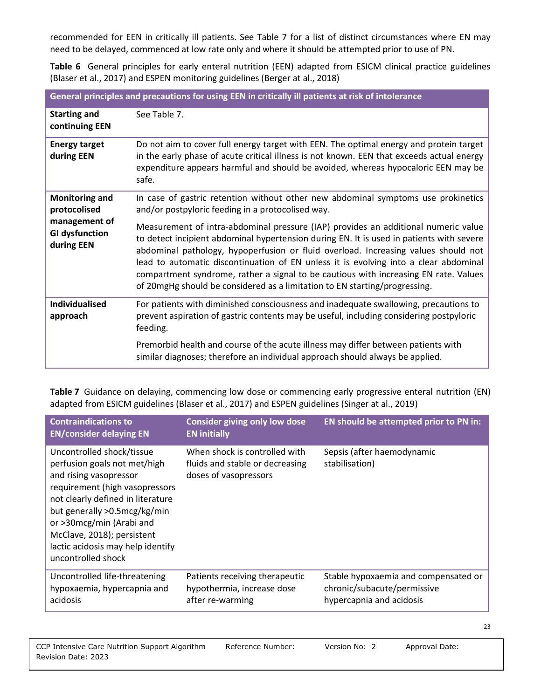recommended for EEN in critically ill patients. See Table 7 for a list of distinct circumstances where EN may need to be delayed, commenced at low rate only and where it should be attempted prior to use of PN.

**Table 6** General principles for early enteral nutrition (EEN) adapted from ESICM clinical practice guidelines (Blaser et al., 2017) and ESPEN monitoring guidelines (Berger at al., 2018)

| General principles and precautions for using EEN in critically ill patients at risk of intolerance |                                                                                                                                                                                                                                                                                                                                                                                                                                                                                                                                                                                                                                                                              |  |
|----------------------------------------------------------------------------------------------------|------------------------------------------------------------------------------------------------------------------------------------------------------------------------------------------------------------------------------------------------------------------------------------------------------------------------------------------------------------------------------------------------------------------------------------------------------------------------------------------------------------------------------------------------------------------------------------------------------------------------------------------------------------------------------|--|
| <b>Starting and</b><br>continuing EEN                                                              | See Table 7.                                                                                                                                                                                                                                                                                                                                                                                                                                                                                                                                                                                                                                                                 |  |
| <b>Energy target</b><br>during EEN                                                                 | Do not aim to cover full energy target with EEN. The optimal energy and protein target<br>in the early phase of acute critical illness is not known. EEN that exceeds actual energy<br>expenditure appears harmful and should be avoided, whereas hypocaloric EEN may be<br>safe.                                                                                                                                                                                                                                                                                                                                                                                            |  |
| <b>Monitoring and</b><br>protocolised<br>management of<br><b>GI dysfunction</b><br>during EEN      | In case of gastric retention without other new abdominal symptoms use prokinetics<br>and/or postpyloric feeding in a protocolised way.<br>Measurement of intra-abdominal pressure (IAP) provides an additional numeric value<br>to detect incipient abdominal hypertension during EN. It is used in patients with severe<br>abdominal pathology, hypoperfusion or fluid overload. Increasing values should not<br>lead to automatic discontinuation of EN unless it is evolving into a clear abdominal<br>compartment syndrome, rather a signal to be cautious with increasing EN rate. Values<br>of 20mgHg should be considered as a limitation to EN starting/progressing. |  |
| <b>Individualised</b><br>approach                                                                  | For patients with diminished consciousness and inadequate swallowing, precautions to<br>prevent aspiration of gastric contents may be useful, including considering postpyloric<br>feeding.<br>Premorbid health and course of the acute illness may differ between patients with<br>similar diagnoses; therefore an individual approach should always be applied.                                                                                                                                                                                                                                                                                                            |  |

**Table 7** Guidance on delaying, commencing low dose or commencing early progressive enteral nutrition (EN) adapted from ESICM guidelines (Blaser et al., 2017) and ESPEN guidelines (Singer at al., 2019)

| <b>Contraindications to</b><br><b>EN/consider delaying EN</b>                                                                                                                                                                                                                                                   | <b>Consider giving only low dose</b><br><b>EN initially</b>                               | EN should be attempted prior to PN in:                                                          |
|-----------------------------------------------------------------------------------------------------------------------------------------------------------------------------------------------------------------------------------------------------------------------------------------------------------------|-------------------------------------------------------------------------------------------|-------------------------------------------------------------------------------------------------|
| Uncontrolled shock/tissue<br>perfusion goals not met/high<br>and rising vasopressor<br>requirement (high vasopressors<br>not clearly defined in literature<br>but generally >0.5mcg/kg/min<br>or >30mcg/min (Arabi and<br>McClave, 2018); persistent<br>lactic acidosis may help identify<br>uncontrolled shock | When shock is controlled with<br>fluids and stable or decreasing<br>doses of vasopressors | Sepsis (after haemodynamic<br>stabilisation)                                                    |
| Uncontrolled life-threatening<br>hypoxaemia, hypercapnia and<br>acidosis                                                                                                                                                                                                                                        | Patients receiving therapeutic<br>hypothermia, increase dose<br>after re-warming          | Stable hypoxaemia and compensated or<br>chronic/subacute/permissive<br>hypercapnia and acidosis |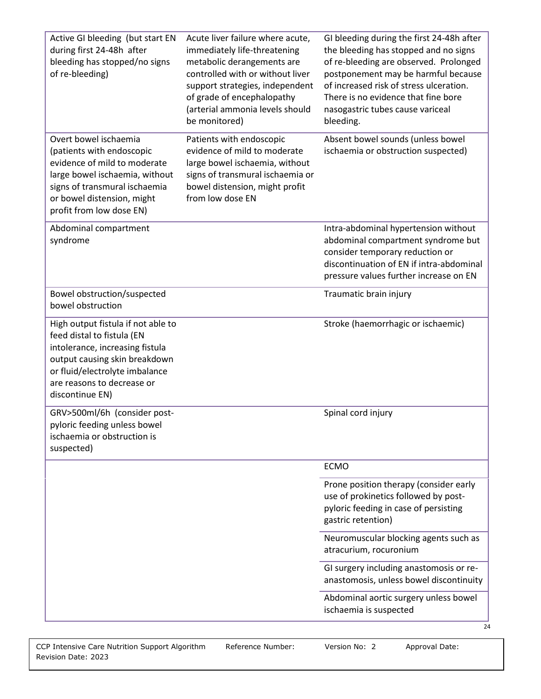| Active GI bleeding (but start EN<br>during first 24-48h after<br>bleeding has stopped/no signs<br>of re-bleeding)                                                                                                       | Acute liver failure where acute,<br>immediately life-threatening<br>metabolic derangements are<br>controlled with or without liver<br>support strategies, independent<br>of grade of encephalopathy<br>(arterial ammonia levels should<br>be monitored) | GI bleeding during the first 24-48h after<br>the bleeding has stopped and no signs<br>of re-bleeding are observed. Prolonged<br>postponement may be harmful because<br>of increased risk of stress ulceration.<br>There is no evidence that fine bore<br>nasogastric tubes cause variceal<br>bleeding. |
|-------------------------------------------------------------------------------------------------------------------------------------------------------------------------------------------------------------------------|---------------------------------------------------------------------------------------------------------------------------------------------------------------------------------------------------------------------------------------------------------|--------------------------------------------------------------------------------------------------------------------------------------------------------------------------------------------------------------------------------------------------------------------------------------------------------|
| Overt bowel ischaemia<br>(patients with endoscopic<br>evidence of mild to moderate<br>large bowel ischaemia, without<br>signs of transmural ischaemia<br>or bowel distension, might<br>profit from low dose EN)         | Patients with endoscopic<br>evidence of mild to moderate<br>large bowel ischaemia, without<br>signs of transmural ischaemia or<br>bowel distension, might profit<br>from low dose EN                                                                    | Absent bowel sounds (unless bowel<br>ischaemia or obstruction suspected)                                                                                                                                                                                                                               |
| Abdominal compartment<br>syndrome                                                                                                                                                                                       |                                                                                                                                                                                                                                                         | Intra-abdominal hypertension without<br>abdominal compartment syndrome but<br>consider temporary reduction or<br>discontinuation of EN if intra-abdominal<br>pressure values further increase on EN                                                                                                    |
| Bowel obstruction/suspected<br>bowel obstruction                                                                                                                                                                        |                                                                                                                                                                                                                                                         | Traumatic brain injury                                                                                                                                                                                                                                                                                 |
| High output fistula if not able to<br>feed distal to fistula (EN<br>intolerance, increasing fistula<br>output causing skin breakdown<br>or fluid/electrolyte imbalance<br>are reasons to decrease or<br>discontinue EN) |                                                                                                                                                                                                                                                         | Stroke (haemorrhagic or ischaemic)                                                                                                                                                                                                                                                                     |
| GRV>500ml/6h (consider post-<br>pyloric feeding unless bowel<br>ischaemia or obstruction is<br>suspected)                                                                                                               |                                                                                                                                                                                                                                                         | Spinal cord injury                                                                                                                                                                                                                                                                                     |
|                                                                                                                                                                                                                         |                                                                                                                                                                                                                                                         | <b>ECMO</b>                                                                                                                                                                                                                                                                                            |
|                                                                                                                                                                                                                         |                                                                                                                                                                                                                                                         | Prone position therapy (consider early<br>use of prokinetics followed by post-<br>pyloric feeding in case of persisting<br>gastric retention)                                                                                                                                                          |
|                                                                                                                                                                                                                         |                                                                                                                                                                                                                                                         | Neuromuscular blocking agents such as<br>atracurium, rocuronium                                                                                                                                                                                                                                        |
|                                                                                                                                                                                                                         |                                                                                                                                                                                                                                                         | GI surgery including anastomosis or re-<br>anastomosis, unless bowel discontinuity                                                                                                                                                                                                                     |
|                                                                                                                                                                                                                         |                                                                                                                                                                                                                                                         | Abdominal aortic surgery unless bowel<br>ischaemia is suspected<br>24                                                                                                                                                                                                                                  |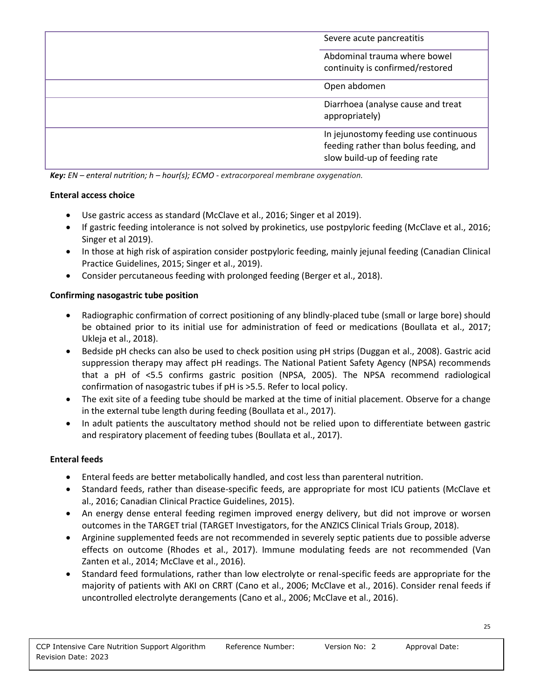| Severe acute pancreatitis                                                                                        |
|------------------------------------------------------------------------------------------------------------------|
| Abdominal trauma where bowel<br>continuity is confirmed/restored                                                 |
| Open abdomen                                                                                                     |
| Diarrhoea (analyse cause and treat<br>appropriately)                                                             |
| In jejunostomy feeding use continuous<br>feeding rather than bolus feeding, and<br>slow build-up of feeding rate |

*Key: EN – enteral nutrition; h – hour(s); ECMO - extracorporeal membrane oxygenation.*

#### **Enteral access choice**

- Use gastric access as standard (McClave et al., 2016; Singer et al 2019).
- If gastric feeding intolerance is not solved by prokinetics, use postpyloric feeding (McClave et al., 2016; Singer et al 2019).
- In those at high risk of aspiration consider postpyloric feeding, mainly jejunal feeding (Canadian Clinical Practice Guidelines, 2015; Singer et al., 2019).
- Consider percutaneous feeding with prolonged feeding (Berger et al., 2018).

#### **Confirming nasogastric tube position**

- Radiographic confirmation of correct positioning of any blindly-placed tube (small or large bore) should be obtained prior to its initial use for administration of feed or medications (Boullata et al., 2017; Ukleja et al., 2018).
- Bedside pH checks can also be used to check position using pH strips (Duggan et al., 2008). Gastric acid suppression therapy may affect pH readings. The National Patient Safety Agency (NPSA) recommends that a pH of <5.5 confirms gastric position (NPSA, 2005). The NPSA recommend radiological confirmation of nasogastric tubes if pH is >5.5. Refer to local policy.
- The exit site of a feeding tube should be marked at the time of initial placement. Observe for a change in the external tube length during feeding (Boullata et al., 2017).
- In adult patients the auscultatory method should not be relied upon to differentiate between gastric and respiratory placement of feeding tubes (Boullata et al., 2017).

## **Enteral feeds**

- Enteral feeds are better metabolically handled, and cost less than parenteral nutrition.
- Standard feeds, rather than disease-specific feeds, are appropriate for most ICU patients (McClave et al., 2016; Canadian Clinical Practice Guidelines, 2015).
- An energy dense enteral feeding regimen improved energy delivery, but did not improve or worsen outcomes in the TARGET trial (TARGET Investigators, for the ANZICS Clinical Trials Group, 2018).
- Arginine supplemented feeds are not recommended in severely septic patients due to possible adverse effects on outcome (Rhodes et al., 2017). Immune modulating feeds are not recommended (Van Zanten et al., 2014; McClave et al., 2016).
- Standard feed formulations, rather than low electrolyte or renal-specific feeds are appropriate for the majority of patients with AKI on CRRT (Cano et al., 2006; McClave et al., 2016). Consider renal feeds if uncontrolled electrolyte derangements (Cano et al., 2006; McClave et al., 2016).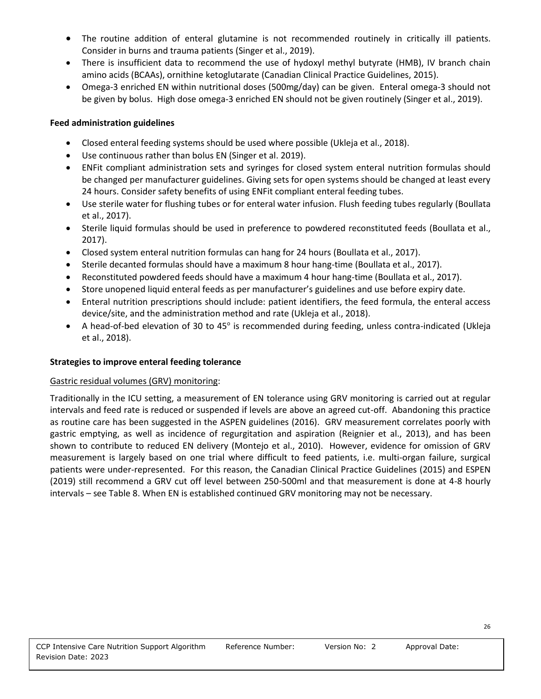- The routine addition of enteral glutamine is not recommended routinely in critically ill patients. Consider in burns and trauma patients (Singer et al., 2019).
- There is insufficient data to recommend the use of hydoxyl methyl butyrate (HMB), IV branch chain amino acids (BCAAs), ornithine ketoglutarate (Canadian Clinical Practice Guidelines, 2015).
- Omega-3 enriched EN within nutritional doses (500mg/day) can be given. Enteral omega-3 should not be given by bolus. High dose omega-3 enriched EN should not be given routinely (Singer et al., 2019).

#### **Feed administration guidelines**

- Closed enteral feeding systems should be used where possible (Ukleja et al., 2018).
- Use continuous rather than bolus EN (Singer et al. 2019).
- ENFit compliant administration sets and syringes for closed system enteral nutrition formulas should be changed per manufacturer guidelines. Giving sets for open systems should be changed at least every 24 hours. Consider safety benefits of using ENFit compliant enteral feeding tubes.
- Use sterile water for flushing tubes or for enteral water infusion. Flush feeding tubes regularly (Boullata et al., 2017).
- Sterile liquid formulas should be used in preference to powdered reconstituted feeds (Boullata et al., 2017).
- Closed system enteral nutrition formulas can hang for 24 hours (Boullata et al., 2017).
- Sterile decanted formulas should have a maximum 8 hour hang-time (Boullata et al., 2017).
- Reconstituted powdered feeds should have a maximum 4 hour hang-time (Boullata et al., 2017).
- Store unopened liquid enteral feeds as per manufacturer's guidelines and use before expiry date.
- Enteral nutrition prescriptions should include: patient identifiers, the feed formula, the enteral access device/site, and the administration method and rate (Ukleja et al., 2018).
- A head-of-bed elevation of 30 to 45° is recommended during feeding, unless contra-indicated (Ukleja et al., 2018).

## **Strategies to improve enteral feeding tolerance**

#### Gastric residual volumes (GRV) monitoring:

Traditionally in the ICU setting, a measurement of EN tolerance using GRV monitoring is carried out at regular intervals and feed rate is reduced or suspended if levels are above an agreed cut-off. Abandoning this practice as routine care has been suggested in the ASPEN guidelines (2016). GRV measurement correlates poorly with gastric emptying, as well as incidence of regurgitation and aspiration (Reignier et al., 2013), and has been shown to contribute to reduced EN delivery (Montejo et al., 2010). However, evidence for omission of GRV measurement is largely based on one trial where difficult to feed patients, i.e. multi-organ failure, surgical patients were under-represented. For this reason, the Canadian Clinical Practice Guidelines (2015) and ESPEN (2019) still recommend a GRV cut off level between 250-500ml and that measurement is done at 4-8 hourly intervals – see Table 8. When EN is established continued GRV monitoring may not be necessary.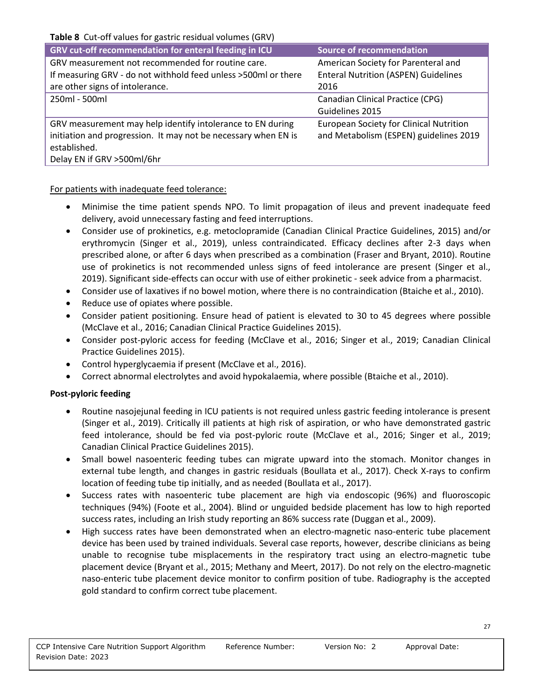**Table 8** Cut-off values for gastric residual volumes (GRV)

| GRV cut-off recommendation for enteral feeding in ICU           | <b>Source of recommendation</b>                |
|-----------------------------------------------------------------|------------------------------------------------|
| GRV measurement not recommended for routine care.               | American Society for Parenteral and            |
| If measuring GRV - do not withhold feed unless > 500ml or there | <b>Enteral Nutrition (ASPEN) Guidelines</b>    |
| are other signs of intolerance.                                 | 2016                                           |
| 250ml - 500ml                                                   | Canadian Clinical Practice (CPG)               |
|                                                                 | Guidelines 2015                                |
| GRV measurement may help identify intolerance to EN during      | <b>European Society for Clinical Nutrition</b> |
| initiation and progression. It may not be necessary when EN is  | and Metabolism (ESPEN) guidelines 2019         |
| established.                                                    |                                                |
| Delay EN if GRV >500ml/6hr                                      |                                                |

#### For patients with inadequate feed tolerance:

- Minimise the time patient spends NPO. To limit propagation of ileus and prevent inadequate feed delivery, avoid unnecessary fasting and feed interruptions.
- Consider use of prokinetics, e.g. metoclopramide (Canadian Clinical Practice Guidelines, 2015) and/or erythromycin (Singer et al., 2019), unless contraindicated. Efficacy declines after 2-3 days when prescribed alone, or after 6 days when prescribed as a combination (Fraser and Bryant, 2010). Routine use of prokinetics is not recommended unless signs of feed intolerance are present (Singer et al., 2019). Significant side-effects can occur with use of either prokinetic - seek advice from a pharmacist.
- Consider use of laxatives if no bowel motion, where there is no contraindication (Btaiche et al., 2010).
- Reduce use of opiates where possible.
- Consider patient positioning. Ensure head of patient is elevated to 30 to 45 degrees where possible (McClave et al., 2016; Canadian Clinical Practice Guidelines 2015).
- Consider post-pyloric access for feeding (McClave et al., 2016; Singer et al., 2019; Canadian Clinical Practice Guidelines 2015).
- Control hyperglycaemia if present (McClave et al., 2016).
- Correct abnormal electrolytes and avoid hypokalaemia, where possible (Btaiche et al., 2010).

#### **Post-pyloric feeding**

- Routine nasojejunal feeding in ICU patients is not required unless gastric feeding intolerance is present (Singer et al., 2019). Critically ill patients at high risk of aspiration, or who have demonstrated gastric feed intolerance, should be fed via post-pyloric route (McClave et al., 2016; Singer et al., 2019; Canadian Clinical Practice Guidelines 2015).
- Small bowel nasoenteric feeding tubes can migrate upward into the stomach. Monitor changes in external tube length, and changes in gastric residuals (Boullata et al., 2017). Check X-rays to confirm location of feeding tube tip initially, and as needed (Boullata et al., 2017).
- Success rates with nasoenteric tube placement are high via endoscopic (96%) and fluoroscopic techniques (94%) (Foote et al., 2004). Blind or unguided bedside placement has low to high reported success rates, including an Irish study reporting an 86% success rate (Duggan et al., 2009).
- High success rates have been demonstrated when an electro-magnetic naso-enteric tube placement device has been used by trained individuals. Several case reports, however, describe clinicians as being unable to recognise tube misplacements in the respiratory tract using an electro-magnetic tube placement device (Bryant et al., 2015; Methany and Meert, 2017). Do not rely on the electro-magnetic naso-enteric tube placement device monitor to confirm position of tube. Radiography is the accepted gold standard to confirm correct tube placement.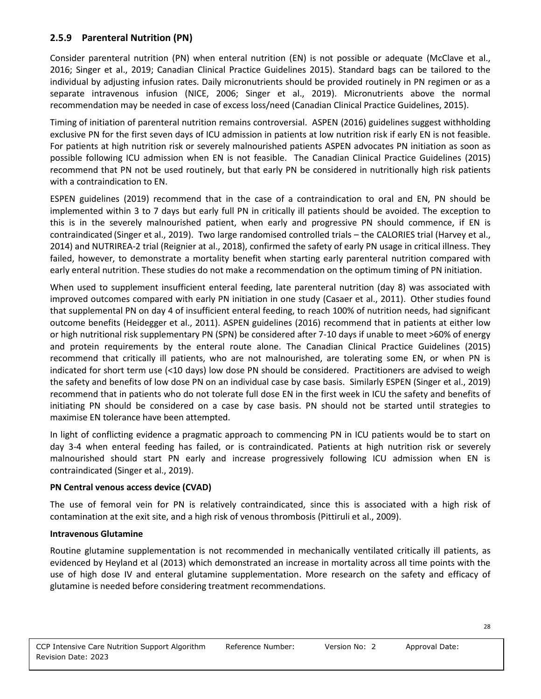#### **2.5.9 Parenteral Nutrition (PN)**

Consider parenteral nutrition (PN) when enteral nutrition (EN) is not possible or adequate (McClave et al., 2016; Singer et al., 2019; Canadian Clinical Practice Guidelines 2015). Standard bags can be tailored to the individual by adjusting infusion rates. Daily micronutrients should be provided routinely in PN regimen or as a separate intravenous infusion (NICE, 2006; Singer et al., 2019). Micronutrients above the normal recommendation may be needed in case of excess loss/need (Canadian Clinical Practice Guidelines, 2015).

Timing of initiation of parenteral nutrition remains controversial. ASPEN (2016) guidelines suggest withholding exclusive PN for the first seven days of ICU admission in patients at low nutrition risk if early EN is not feasible. For patients at high nutrition risk or severely malnourished patients ASPEN advocates PN initiation as soon as possible following ICU admission when EN is not feasible. The Canadian Clinical Practice Guidelines (2015) recommend that PN not be used routinely, but that early PN be considered in nutritionally high risk patients with a contraindication to EN.

ESPEN guidelines (2019) recommend that in the case of a contraindication to oral and EN, PN should be implemented within 3 to 7 days but early full PN in critically ill patients should be avoided. The exception to this is in the severely malnourished patient, when early and progressive PN should commence, if EN is contraindicated (Singer et al., 2019). Two large randomised controlled trials – the CALORIES trial (Harvey et al., 2014) and NUTRIREA-2 trial (Reignier at al., 2018), confirmed the safety of early PN usage in critical illness. They failed, however, to demonstrate a mortality benefit when starting early parenteral nutrition compared with early enteral nutrition. These studies do not make a recommendation on the optimum timing of PN initiation.

When used to supplement insufficient enteral feeding, late parenteral nutrition (day 8) was associated with improved outcomes compared with early PN initiation in one study (Casaer et al., 2011). Other studies found that supplemental PN on day 4 of insufficient enteral feeding, to reach 100% of nutrition needs, had significant outcome benefits (Heidegger et al., 2011). ASPEN guidelines (2016) recommend that in patients at either low or high nutritional risk supplementary PN (SPN) be considered after 7-10 days if unable to meet >60% of energy and protein requirements by the enteral route alone. The Canadian Clinical Practice Guidelines (2015) recommend that critically ill patients, who are not malnourished, are tolerating some EN, or when PN is indicated for short term use (<10 days) low dose PN should be considered. Practitioners are advised to weigh the safety and benefits of low dose PN on an individual case by case basis. Similarly ESPEN (Singer et al., 2019) recommend that in patients who do not tolerate full dose EN in the first week in ICU the safety and benefits of initiating PN should be considered on a case by case basis. PN should not be started until strategies to maximise EN tolerance have been attempted.

In light of conflicting evidence a pragmatic approach to commencing PN in ICU patients would be to start on day 3-4 when enteral feeding has failed, or is contraindicated. Patients at high nutrition risk or severely malnourished should start PN early and increase progressively following ICU admission when EN is contraindicated (Singer et al., 2019).

#### **PN Central venous access device (CVAD)**

The use of femoral vein for PN is relatively contraindicated, since this is associated with a high risk of contamination at the exit site, and a high risk of venous thrombosis (Pittiruli et al., 2009).

#### **Intravenous Glutamine**

Routine glutamine supplementation is not recommended in mechanically ventilated critically ill patients, as evidenced by Heyland et al (2013) which demonstrated an increase in mortality across all time points with the use of high dose IV and enteral glutamine supplementation. More research on the safety and efficacy of glutamine is needed before considering treatment recommendations.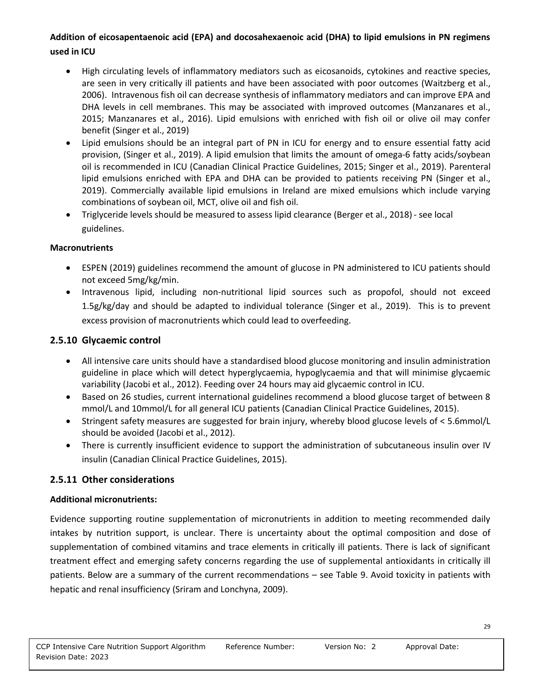## **Addition of eicosapentaenoic acid (EPA) and docosahexaenoic acid (DHA) to lipid emulsions in PN regimens used in ICU**

- High circulating levels of inflammatory mediators such as eicosanoids, cytokines and reactive species, are seen in very critically ill patients and have been associated with poor outcomes (Waitzberg et al., 2006). Intravenous fish oil can decrease synthesis of inflammatory mediators and can improve EPA and DHA levels in cell membranes. This may be associated with improved outcomes (Manzanares et al., 2015; Manzanares et al., 2016). Lipid emulsions with enriched with fish oil or olive oil may confer benefit (Singer et al., 2019)
- Lipid emulsions should be an integral part of PN in ICU for energy and to ensure essential fatty acid provision, (Singer et al., 2019). A lipid emulsion that limits the amount of omega-6 fatty acids/soybean oil is recommended in ICU (Canadian Clinical Practice Guidelines, 2015; Singer et al., 2019). Parenteral lipid emulsions enriched with EPA and DHA can be provided to patients receiving PN (Singer et al., 2019). Commercially available lipid emulsions in Ireland are mixed emulsions which include varying combinations of soybean oil, MCT, olive oil and fish oil.
- Triglyceride levels should be measured to assess lipid clearance (Berger et al., 2018)- see local guidelines.

#### **Macronutrients**

- ESPEN (2019) guidelines recommend the amount of glucose in PN administered to ICU patients should not exceed 5mg/kg/min.
- Intravenous lipid, including non-nutritional lipid sources such as propofol, should not exceed 1.5g/kg/day and should be adapted to individual tolerance (Singer et al., 2019). This is to prevent excess provision of macronutrients which could lead to overfeeding.

#### **2.5.10 Glycaemic control**

- All intensive care units should have a standardised blood glucose monitoring and insulin administration guideline in place which will detect hyperglycaemia, hypoglycaemia and that will minimise glycaemic variability (Jacobi et al., 2012). Feeding over 24 hours may aid glycaemic control in ICU.
- Based on 26 studies, current international guidelines recommend a blood glucose target of between 8 mmol/L and 10mmol/L for all general ICU patients (Canadian Clinical Practice Guidelines, 2015).
- Stringent safety measures are suggested for brain injury, whereby blood glucose levels of < 5.6mmol/L should be avoided (Jacobi et al., 2012).
- There is currently insufficient evidence to support the administration of subcutaneous insulin over IV insulin (Canadian Clinical Practice Guidelines, 2015).

#### **2.5.11 Other considerations**

#### **Additional micronutrients:**

Evidence supporting routine supplementation of micronutrients in addition to meeting recommended daily intakes by nutrition support, is unclear. There is uncertainty about the optimal composition and dose of supplementation of combined vitamins and trace elements in critically ill patients. There is lack of significant treatment effect and emerging safety concerns regarding the use of supplemental antioxidants in critically ill patients. Below are a summary of the current recommendations – see Table 9. Avoid toxicity in patients with hepatic and renal insufficiency (Sriram and Lonchyna, 2009).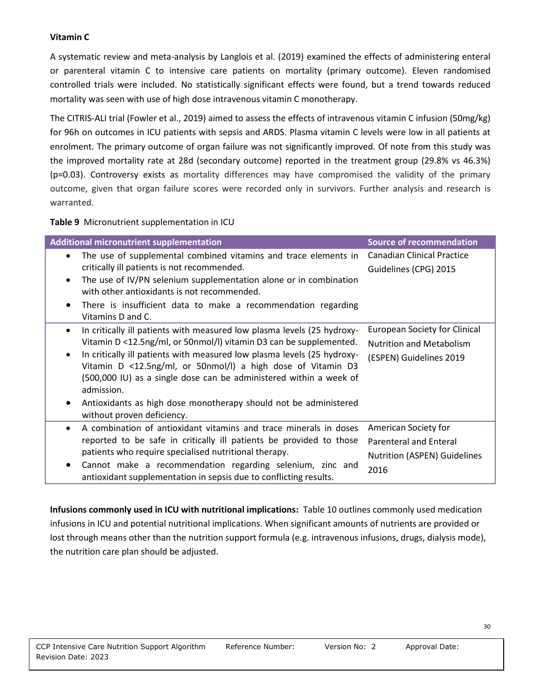#### **Vitamin C**

A systematic review and meta-analysis by Langlois et al. (2019) examined the effects of administering enteral or parenteral vitamin C to intensive care patients on mortality (primary outcome). Eleven randomised controlled trials were included. No statistically significant effects were found, but a trend towards reduced mortality was seen with use of high dose intravenous vitamin C monotherapy.

The CITRIS-ALI trial (Fowler et al., 2019) aimed to assess the effects of intravenous vitamin C infusion (50mg/kg) for 96h on outcomes in ICU patients with sepsis and ARDS. Plasma vitamin C levels were low in all patients at enrolment. The primary outcome of organ failure was not significantly improved. Of note from this study was the improved mortality rate at 28d (secondary outcome) reported in the treatment group (29.8% vs 46.3%) (p=0.03). Controversy exists as mortality differences may have compromised the validity of the primary outcome, given that organ failure scores were recorded only in survivors. Further analysis and research is warranted.

**Table 9** Micronutrient supplementation in ICU

| <b>Additional micronutrient supplementation</b>                                                                                                                                                                                                                                                                                                                                                                                                                                                          | <b>Source of recommendation</b>                                                                    |
|----------------------------------------------------------------------------------------------------------------------------------------------------------------------------------------------------------------------------------------------------------------------------------------------------------------------------------------------------------------------------------------------------------------------------------------------------------------------------------------------------------|----------------------------------------------------------------------------------------------------|
| The use of supplemental combined vitamins and trace elements in<br>$\bullet$<br>critically ill patients is not recommended.<br>The use of IV/PN selenium supplementation alone or in combination<br>$\bullet$<br>with other antioxidants is not recommended.<br>There is insufficient data to make a recommendation regarding<br>Vitamins D and C.                                                                                                                                                       | <b>Canadian Clinical Practice</b><br>Guidelines (CPG) 2015                                         |
| In critically ill patients with measured low plasma levels (25 hydroxy-<br>$\bullet$<br>Vitamin D <12.5ng/ml, or 50nmol/l) vitamin D3 can be supplemented.<br>In critically ill patients with measured low plasma levels (25 hydroxy-<br>Vitamin D <12.5ng/ml, or 50nmol/l) a high dose of Vitamin D3<br>(500,000 IU) as a single dose can be administered within a week of<br>admission.<br>Antioxidants as high dose monotherapy should not be administered<br>$\bullet$<br>without proven deficiency. | <b>European Society for Clinical</b><br><b>Nutrition and Metabolism</b><br>(ESPEN) Guidelines 2019 |
| A combination of antioxidant vitamins and trace minerals in doses<br>$\bullet$<br>reported to be safe in critically ill patients be provided to those<br>patients who require specialised nutritional therapy.<br>Cannot make a recommendation regarding selenium, zinc and<br>antioxidant supplementation in sepsis due to conflicting results.                                                                                                                                                         | American Society for<br><b>Parenteral and Enteral</b><br>Nutrition (ASPEN) Guidelines<br>2016      |

**Infusions commonly used in ICU with nutritional implications:** Table 10 outlines commonly used medication infusions in ICU and potential nutritional implications. When significant amounts of nutrients are provided or lost through means other than the nutrition support formula (e.g. intravenous infusions, drugs, dialysis mode), the nutrition care plan should be adjusted.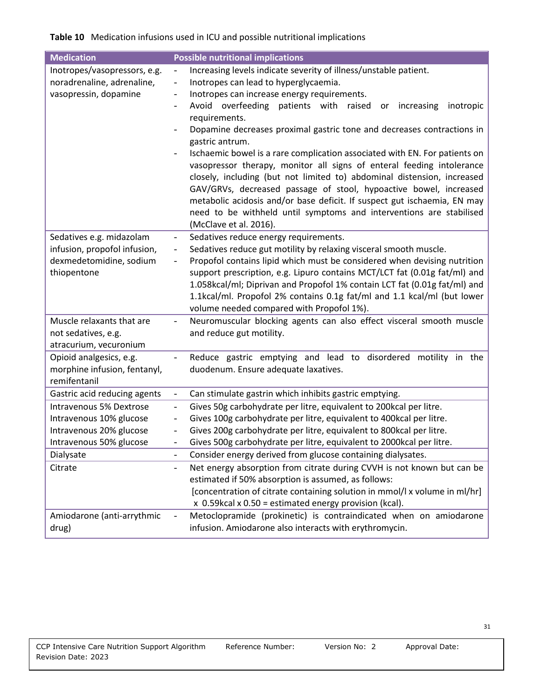## **Table 10** Medication infusions used in ICU and possible nutritional implications

| <b>Medication</b>                                                                                        | <b>Possible nutritional implications</b>                                                                                                                                                                                                                                                                                                                                                                                                                                                                                                                                                                                                                                                                                                                                                                                                                                                                                                    |
|----------------------------------------------------------------------------------------------------------|---------------------------------------------------------------------------------------------------------------------------------------------------------------------------------------------------------------------------------------------------------------------------------------------------------------------------------------------------------------------------------------------------------------------------------------------------------------------------------------------------------------------------------------------------------------------------------------------------------------------------------------------------------------------------------------------------------------------------------------------------------------------------------------------------------------------------------------------------------------------------------------------------------------------------------------------|
| Inotropes/vasopressors, e.g.<br>noradrenaline, adrenaline,<br>vasopressin, dopamine                      | Increasing levels indicate severity of illness/unstable patient.<br>$\blacksquare$<br>Inotropes can lead to hyperglycaemia.<br>$\frac{1}{2}$<br>Inotropes can increase energy requirements.<br>-<br>Avoid overfeeding<br>patients with<br>raised<br>increasing<br>inotropic<br>or<br>$\overline{\phantom{a}}$<br>requirements.<br>Dopamine decreases proximal gastric tone and decreases contractions in<br>gastric antrum.<br>Ischaemic bowel is a rare complication associated with EN. For patients on<br>$\overline{\phantom{a}}$<br>vasopressor therapy, monitor all signs of enteral feeding intolerance<br>closely, including (but not limited to) abdominal distension, increased<br>GAV/GRVs, decreased passage of stool, hypoactive bowel, increased<br>metabolic acidosis and/or base deficit. If suspect gut ischaemia, EN may<br>need to be withheld until symptoms and interventions are stabilised<br>(McClave et al. 2016). |
| Sedatives e.g. midazolam<br>infusion, propofol infusion,<br>dexmedetomidine, sodium<br>thiopentone       | Sedatives reduce energy requirements.<br>$\overline{\phantom{0}}$<br>Sedatives reduce gut motility by relaxing visceral smooth muscle.<br>$\overline{\phantom{a}}$<br>Propofol contains lipid which must be considered when devising nutrition<br>$\overline{\phantom{0}}$<br>support prescription, e.g. Lipuro contains MCT/LCT fat (0.01g fat/ml) and<br>1.058kcal/ml; Diprivan and Propofol 1% contain LCT fat (0.01g fat/ml) and<br>1.1kcal/ml. Propofol 2% contains 0.1g fat/ml and 1.1 kcal/ml (but lower<br>volume needed compared with Propofol 1%).                                                                                                                                                                                                                                                                                                                                                                                |
| Muscle relaxants that are<br>not sedatives, e.g.<br>atracurium, vecuronium                               | Neuromuscular blocking agents can also effect visceral smooth muscle<br>$\frac{1}{2}$<br>and reduce gut motility.                                                                                                                                                                                                                                                                                                                                                                                                                                                                                                                                                                                                                                                                                                                                                                                                                           |
| Opioid analgesics, e.g.<br>morphine infusion, fentanyl,<br>remifentanil                                  | Reduce gastric emptying and lead to disordered motility in the<br>$\overline{\phantom{a}}$<br>duodenum. Ensure adequate laxatives.                                                                                                                                                                                                                                                                                                                                                                                                                                                                                                                                                                                                                                                                                                                                                                                                          |
| Gastric acid reducing agents                                                                             | Can stimulate gastrin which inhibits gastric emptying.<br>$\overline{\phantom{a}}$                                                                                                                                                                                                                                                                                                                                                                                                                                                                                                                                                                                                                                                                                                                                                                                                                                                          |
| Intravenous 5% Dextrose<br>Intravenous 10% glucose<br>Intravenous 20% glucose<br>Intravenous 50% glucose | Gives 50g carbohydrate per litre, equivalent to 200kcal per litre.<br>$\overline{\phantom{0}}$<br>Gives 100g carbohydrate per litre, equivalent to 400kcal per litre.<br>$\overline{\phantom{0}}$<br>Gives 200g carbohydrate per litre, equivalent to 800kcal per litre.<br>$\overline{\phantom{0}}$<br>Gives 500g carbohydrate per litre, equivalent to 2000kcal per litre.<br>$\overline{\phantom{0}}$                                                                                                                                                                                                                                                                                                                                                                                                                                                                                                                                    |
| Dialysate<br>Citrate                                                                                     | Consider energy derived from glucose containing dialysates.<br>$\qquad \qquad -$<br>Net energy absorption from citrate during CVVH is not known but can be                                                                                                                                                                                                                                                                                                                                                                                                                                                                                                                                                                                                                                                                                                                                                                                  |
|                                                                                                          | $\frac{1}{2}$<br>estimated if 50% absorption is assumed, as follows:<br>[concentration of citrate containing solution in mmol/l x volume in ml/hr]<br>x 0.59kcal x 0.50 = estimated energy provision (kcal).                                                                                                                                                                                                                                                                                                                                                                                                                                                                                                                                                                                                                                                                                                                                |
| Amiodarone (anti-arrythmic<br>drug)                                                                      | Metoclopramide (prokinetic) is contraindicated when on amiodarone<br>$\frac{1}{2}$<br>infusion. Amiodarone also interacts with erythromycin.                                                                                                                                                                                                                                                                                                                                                                                                                                                                                                                                                                                                                                                                                                                                                                                                |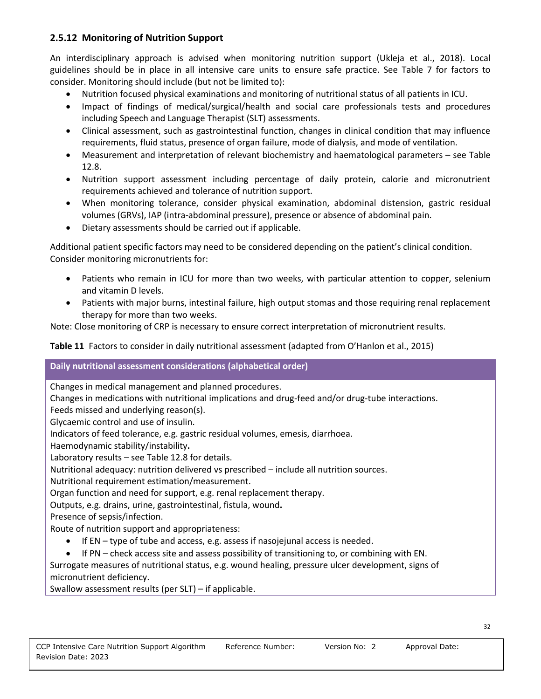### **2.5.12 Monitoring of Nutrition Support**

An interdisciplinary approach is advised when monitoring nutrition support (Ukleja et al., 2018). Local guidelines should be in place in all intensive care units to ensure safe practice. See Table 7 for factors to consider. Monitoring should include (but not be limited to):

- Nutrition focused physical examinations and monitoring of nutritional status of all patients in ICU.
- Impact of findings of medical/surgical/health and social care professionals tests and procedures including Speech and Language Therapist (SLT) assessments.
- Clinical assessment, such as gastrointestinal function, changes in clinical condition that may influence requirements, fluid status, presence of organ failure, mode of dialysis, and mode of ventilation.
- Measurement and interpretation of relevant biochemistry and haematological parameters see Table 12.8.
- Nutrition support assessment including percentage of daily protein, calorie and micronutrient requirements achieved and tolerance of nutrition support.
- When monitoring tolerance, consider physical examination, abdominal distension, gastric residual volumes (GRVs), IAP (intra-abdominal pressure), presence or absence of abdominal pain.
- Dietary assessments should be carried out if applicable.

Additional patient specific factors may need to be considered depending on the patient's clinical condition. Consider monitoring micronutrients for:

- Patients who remain in ICU for more than two weeks, with particular attention to copper, selenium and vitamin D levels.
- Patients with major burns, intestinal failure, high output stomas and those requiring renal replacement therapy for more than two weeks.

Note: Close monitoring of CRP is necessary to ensure correct interpretation of micronutrient results.

**Table 11** Factors to consider in daily nutritional assessment (adapted from O'Hanlon et al., 2015)

#### **Daily nutritional assessment considerations (alphabetical order)**

Changes in medical management and planned procedures.

Changes in medications with nutritional implications and drug-feed and/or drug-tube interactions.

Feeds missed and underlying reason(s).

Glycaemic control and use of insulin.

Indicators of feed tolerance, e.g. gastric residual volumes, emesis, diarrhoea.

Haemodynamic stability/instability**.**

Laboratory results – see Table 12.8 for details.

Nutritional adequacy: nutrition delivered vs prescribed – include all nutrition sources.

Nutritional requirement estimation/measurement.

Organ function and need for support, e.g. renal replacement therapy.

Outputs, e.g. drains, urine, gastrointestinal, fistula, wound**.**

Presence of sepsis/infection.

Route of nutrition support and appropriateness:

- If EN type of tube and access, e.g. assess if nasojejunal access is needed.
- If PN check access site and assess possibility of transitioning to, or combining with EN.

Surrogate measures of nutritional status, e.g. wound healing, pressure ulcer development, signs of micronutrient deficiency.

Swallow assessment results (per SLT) – if applicable.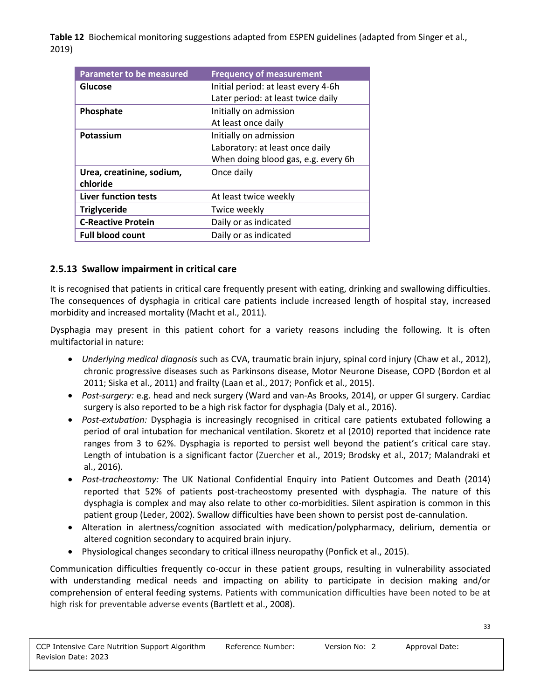**Table 12** Biochemical monitoring suggestions adapted from ESPEN guidelines (adapted from Singer et al., 2019)

| Parameter to be measured    | <b>Frequency of measurement</b>     |
|-----------------------------|-------------------------------------|
| Glucose                     | Initial period: at least every 4-6h |
|                             | Later period: at least twice daily  |
| Phosphate                   | Initially on admission              |
|                             | At least once daily                 |
| Potassium                   | Initially on admission              |
|                             | Laboratory: at least once daily     |
|                             | When doing blood gas, e.g. every 6h |
| Urea, creatinine, sodium,   | Once daily                          |
| chloride                    |                                     |
| <b>Liver function tests</b> | At least twice weekly               |
| <b>Triglyceride</b>         | Twice weekly                        |
| <b>C-Reactive Protein</b>   | Daily or as indicated               |
| <b>Full blood count</b>     | Daily or as indicated               |

## **2.5.13 Swallow impairment in critical care**

It is recognised that patients in critical care frequently present with eating, drinking and swallowing difficulties. The consequences of dysphagia in critical care patients include increased length of hospital stay, increased morbidity and increased mortality (Macht et al., 2011).

Dysphagia may present in this patient cohort for a variety reasons including the following. It is often multifactorial in nature:

- *Underlying medical diagnosis* such as CVA, traumatic brain injury, spinal cord injury (Chaw et al., 2012), chronic progressive diseases such as Parkinsons disease, Motor Neurone Disease, COPD (Bordon et al 2011; Siska et al., 2011) and frailty (Laan et al., 2017; Ponfick et al., 2015).
- *Post-surgery:* e.g. head and neck surgery (Ward and van-As Brooks, 2014), or upper GI surgery. Cardiac surgery is also reported to be a high risk factor for dysphagia (Daly et al., 2016).
- *Post-extubation:* Dysphagia is increasingly recognised in critical care patients extubated following a period of oral intubation for mechanical ventilation. Skoretz et al (2010) reported that incidence rate ranges from 3 to 62%. Dysphagia is reported to persist well beyond the patient's critical care stay. Length of intubation is a significant factor (Zuercher et al., 2019; Brodsky et al., 2017; Malandraki et al., 2016).
- *Post-tracheostomy:* The UK National Confidential Enquiry into Patient Outcomes and Death (2014) reported that 52% of patients post-tracheostomy presented with dysphagia. The nature of this dysphagia is complex and may also relate to other co-morbidities. Silent aspiration is common in this patient group (Leder, 2002). Swallow difficulties have been shown to persist post de-cannulation.
- Alteration in alertness/cognition associated with medication/polypharmacy, delirium, dementia or altered cognition secondary to acquired brain injury.
- Physiological changes secondary to critical illness neuropathy (Ponfick et al., 2015).

Communication difficulties frequently co-occur in these patient groups, resulting in vulnerability associated with understanding medical needs and impacting on ability to participate in decision making and/or comprehension of enteral feeding systems. Patients with communication difficulties have been noted to be at high risk for preventable adverse events (Bartlett et al., 2008).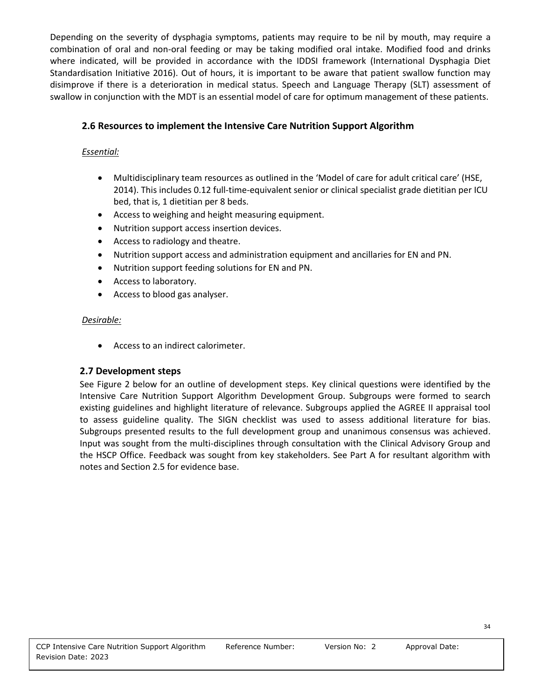Depending on the severity of dysphagia symptoms, patients may require to be nil by mouth, may require a combination of oral and non-oral feeding or may be taking modified oral intake. Modified food and drinks where indicated, will be provided in accordance with the IDDSI framework (International Dysphagia Diet Standardisation Initiative 2016). Out of hours, it is important to be aware that patient swallow function may disimprove if there is a deterioration in medical status. Speech and Language Therapy (SLT) assessment of swallow in conjunction with the MDT is an essential model of care for optimum management of these patients.

## **2.6 Resources to implement the Intensive Care Nutrition Support Algorithm**

### *Essential:*

- Multidisciplinary team resources as outlined in the 'Model of care for adult critical care' (HSE, 2014). This includes 0.12 full-time-equivalent senior or clinical specialist grade dietitian per ICU bed, that is, 1 dietitian per 8 beds.
- Access to weighing and height measuring equipment.
- Nutrition support access insertion devices.
- Access to radiology and theatre.
- Nutrition support access and administration equipment and ancillaries for EN and PN.
- Nutrition support feeding solutions for EN and PN.
- Access to laboratory.
- Access to blood gas analyser.

## *Desirable:*

• Access to an indirect calorimeter.

## **2.7 Development steps**

See Figure 2 below for an outline of development steps. Key clinical questions were identified by the Intensive Care Nutrition Support Algorithm Development Group. Subgroups were formed to search existing guidelines and highlight literature of relevance. Subgroups applied the AGREE II appraisal tool to assess guideline quality. The SIGN checklist was used to assess additional literature for bias. Subgroups presented results to the full development group and unanimous consensus was achieved. Input was sought from the multi-disciplines through consultation with the Clinical Advisory Group and the HSCP Office. Feedback was sought from key stakeholders. See Part A for resultant algorithm with notes and Section 2.5 for evidence base.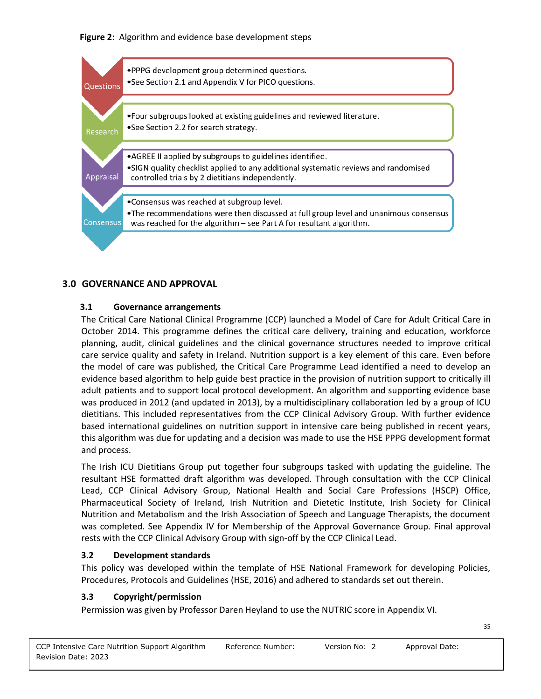



## **3.0 GOVERNANCE AND APPROVAL**

#### **3.1 Governance arrangements**

The Critical Care National Clinical Programme (CCP) launched a Model of Care for Adult Critical Care in October 2014. This programme defines the critical care delivery, training and education, workforce planning, audit, clinical guidelines and the clinical governance structures needed to improve critical care service quality and safety in Ireland. Nutrition support is a key element of this care. Even before the model of care was published, the Critical Care Programme Lead identified a need to develop an evidence based algorithm to help guide best practice in the provision of nutrition support to critically ill adult patients and to support local protocol development. An algorithm and supporting evidence base was produced in 2012 (and updated in 2013), by a multidisciplinary collaboration led by a group of ICU dietitians. This included representatives from the CCP Clinical Advisory Group. With further evidence based international guidelines on nutrition support in intensive care being published in recent years, this algorithm was due for updating and a decision was made to use the HSE PPPG development format and process.

The Irish ICU Dietitians Group put together four subgroups tasked with updating the guideline. The resultant HSE formatted draft algorithm was developed. Through consultation with the CCP Clinical Lead, CCP Clinical Advisory Group, National Health and Social Care Professions (HSCP) Office, Pharmaceutical Society of Ireland, Irish Nutrition and Dietetic Institute, Irish Society for Clinical Nutrition and Metabolism and the Irish Association of Speech and Language Therapists, the document was completed. See Appendix IV for Membership of the Approval Governance Group. Final approval rests with the CCP Clinical Advisory Group with sign-off by the CCP Clinical Lead.

#### **3.2 Development standards**

This policy was developed within the template of HSE National Framework for developing Policies, Procedures, Protocols and Guidelines (HSE, 2016) and adhered to standards set out therein.

## **3.3 Copyright/permission**

Permission was given by Professor Daren Heyland to use the NUTRIC score in Appendix VI.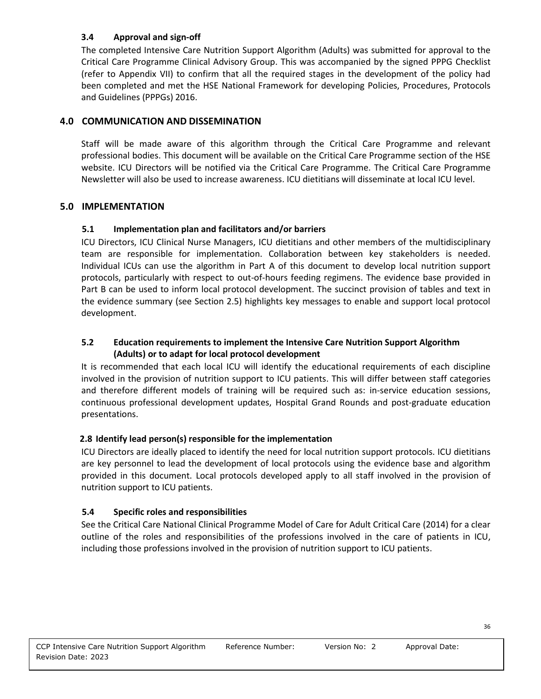#### **3.4 Approval and sign-off**

The completed Intensive Care Nutrition Support Algorithm (Adults) was submitted for approval to the Critical Care Programme Clinical Advisory Group. This was accompanied by the signed PPPG Checklist (refer to Appendix VII) to confirm that all the required stages in the development of the policy had been completed and met the HSE National Framework for developing Policies, Procedures, Protocols and Guidelines (PPPGs) 2016.

## **4.0 COMMUNICATION AND DISSEMINATION**

Staff will be made aware of this algorithm through the Critical Care Programme and relevant professional bodies. This document will be available on the Critical Care Programme section of the HSE website. ICU Directors will be notified via the Critical Care Programme. The Critical Care Programme Newsletter will also be used to increase awareness. ICU dietitians will disseminate at local ICU level.

## **5.0 IMPLEMENTATION**

## **5.1 Implementation plan and facilitators and/or barriers**

ICU Directors, ICU Clinical Nurse Managers, ICU dietitians and other members of the multidisciplinary team are responsible for implementation. Collaboration between key stakeholders is needed. Individual ICUs can use the algorithm in Part A of this document to develop local nutrition support protocols, particularly with respect to out-of-hours feeding regimens. The evidence base provided in Part B can be used to inform local protocol development. The succinct provision of tables and text in the evidence summary (see Section 2.5) highlights key messages to enable and support local protocol development.

#### **5.2 Education requirements to implement the Intensive Care Nutrition Support Algorithm (Adults) or to adapt for local protocol development**

It is recommended that each local ICU will identify the educational requirements of each discipline involved in the provision of nutrition support to ICU patients. This will differ between staff categories and therefore different models of training will be required such as: in-service education sessions, continuous professional development updates, Hospital Grand Rounds and post-graduate education presentations.

## **2.8 Identify lead person(s) responsible for the implementation**

ICU Directors are ideally placed to identify the need for local nutrition support protocols. ICU dietitians are key personnel to lead the development of local protocols using the evidence base and algorithm provided in this document. Local protocols developed apply to all staff involved in the provision of nutrition support to ICU patients.

## **5.4 Specific roles and responsibilities**

See the Critical Care National Clinical Programme Model of Care for Adult Critical Care (2014) for a clear outline of the roles and responsibilities of the professions involved in the care of patients in ICU, including those professions involved in the provision of nutrition support to ICU patients.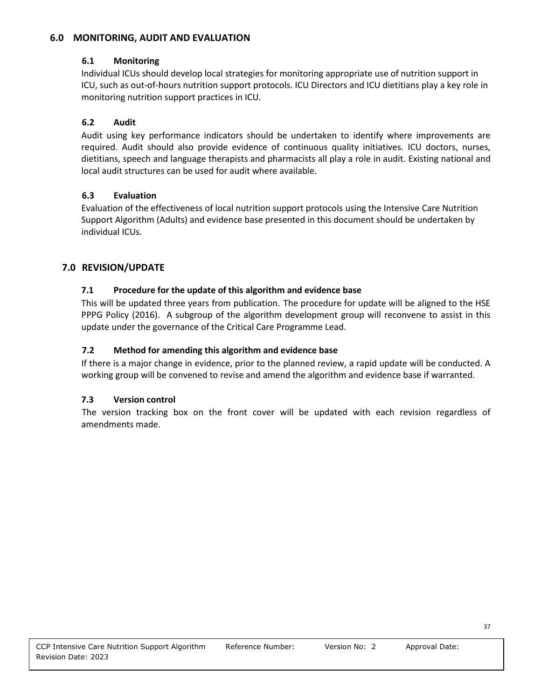#### **6.0 MONITORING, AUDIT AND EVALUATION**

#### **6.1 Monitoring**

Individual ICUs should develop local strategies for monitoring appropriate use of nutrition support in ICU, such as out-of-hours nutrition support protocols. ICU Directors and ICU dietitians play a key role in monitoring nutrition support practices in ICU.

#### **6.2 Audit**

Audit using key performance indicators should be undertaken to identify where improvements are required. Audit should also provide evidence of continuous quality initiatives. ICU doctors, nurses, dietitians, speech and language therapists and pharmacists all play a role in audit. Existing national and local audit structures can be used for audit where available.

#### **6.3 Evaluation**

Evaluation of the effectiveness of local nutrition support protocols using the Intensive Care Nutrition Support Algorithm (Adults) and evidence base presented in this document should be undertaken by individual ICUs.

#### **7.0 REVISION/UPDATE**

#### **7.1 Procedure for the update of this algorithm and evidence base**

This will be updated three years from publication. The procedure for update will be aligned to the HSE PPPG Policy (2016). A subgroup of the algorithm development group will reconvene to assist in this update under the governance of the Critical Care Programme Lead.

#### **7.2 Method for amending this algorithm and evidence base**

If there is a major change in evidence, prior to the planned review, a rapid update will be conducted. A working group will be convened to revise and amend the algorithm and evidence base if warranted.

#### **7.3 Version control**

The version tracking box on the front cover will be updated with each revision regardless of amendments made.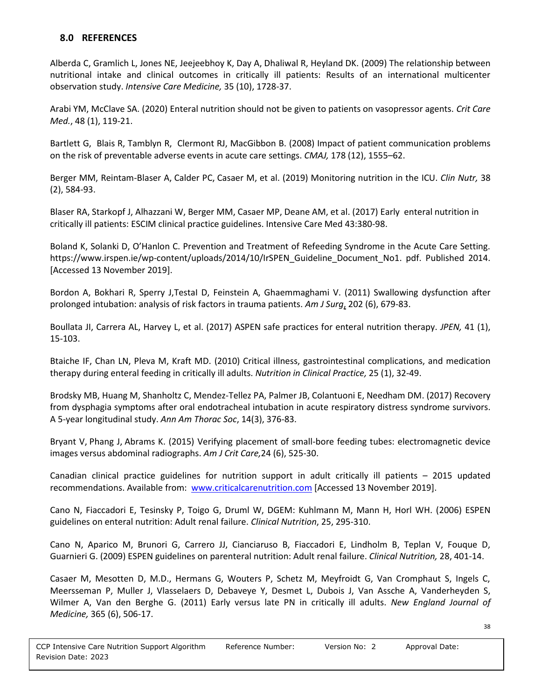#### **8.0 REFERENCES**

Alberda C, Gramlich L, Jones NE, Jeejeebhoy K, Day A, Dhaliwal R, Heyland DK. (2009) The relationship between nutritional intake and clinical outcomes in critically ill patients: Results of an international multicenter observation study. *Intensive Care Medicine,* 35 (10), 1728-37.

Arabi YM, McClave SA. (2020) Enteral nutrition should not be given to patients on vasopressor agents. *[Crit Care](https://www.ncbi.nlm.nih.gov/pubmed/30134303)  [Med.](https://www.ncbi.nlm.nih.gov/pubmed/30134303)*, 48 (1), 119-21.

[Bartlett](https://www.ncbi.nlm.nih.gov/pubmed/?term=Bartlett%20G%5BAuthor%5D&cauthor=true&cauthor_uid=18519903) G, [Blais](https://www.ncbi.nlm.nih.gov/pubmed/?term=Blais%20R%5BAuthor%5D&cauthor=true&cauthor_uid=18519903) R, [Tamblyn](https://www.ncbi.nlm.nih.gov/pubmed/?term=Tamblyn%20R%5BAuthor%5D&cauthor=true&cauthor_uid=18519903) R, [Clermont](https://www.ncbi.nlm.nih.gov/pubmed/?term=Clermont%20RJ%5BAuthor%5D&cauthor=true&cauthor_uid=18519903) RJ, [MacGibbon](https://www.ncbi.nlm.nih.gov/pubmed/?term=MacGibbon%20B%5BAuthor%5D&cauthor=true&cauthor_uid=18519903) B. (2008) Impact of patient communication problems on the risk of preventable adverse events in acute care settings. *[CMAJ,](https://www.ncbi.nlm.nih.gov/pmc/articles/PMC2396356/)* 178 (12), 1555–62.

Berger MM, [Reintam-Blaser A,](https://www.ncbi.nlm.nih.gov/pubmed/?term=Reintam-Blaser%20A%5BAuthor%5D&cauthor=true&cauthor_uid=30077342) [Calder PC,](https://www.ncbi.nlm.nih.gov/pubmed/?term=Calder%20PC%5BAuthor%5D&cauthor=true&cauthor_uid=30077342) [Casaer M,](https://www.ncbi.nlm.nih.gov/pubmed/?term=Casaer%20M%5BAuthor%5D&cauthor=true&cauthor_uid=30077342) et al. (2019) Monitoring nutrition in the ICU. *[Clin Nutr,](https://www.ncbi.nlm.nih.gov/pubmed/30077342)* 38 (2), 584-93.

Blaser RA, Starkopf J, Alhazzani W, Berger MM, Casaer MP, Deane AM, et al. (2017) Early enteral nutrition in critically ill patients: ESCIM clinical practice guidelines. Intensive Care Med 43:380-98.

Boland K, Solanki D, O'Hanlon C. Prevention and Treatment of Refeeding Syndrome in the Acute Care Setting. https://www.irspen.ie/wp-content/uploads/2014/10/IrSPEN\_Guideline\_Document\_No1. pdf. Published 2014. [Accessed 13 November 2019].

[Bordon A, Bokhari R, Sperry J,TestaI D, Feinstein A, Ghaemmaghami V.](https://www.sciencedirect.com/science/article/abs/pii/S0002961011005204#!) (2011) Swallowing dysfunction after prolonged intubation: analysis of risk factors in trauma patients. *[Am J Surg](https://www.ncbi.nlm.nih.gov/pubmed/21982681)*, 202 (6), 679-83.

Boullata JI, Carrera AL, Harvey L, et al. (2017) ASPEN safe practices for enteral nutrition therapy. *JPEN,* 41 (1), 15-103.

Btaiche IF, Chan LN, Pleva M, Kraft MD. (2010) Critical illness, gastrointestinal complications, and medication therapy during enteral feeding in critically ill adults. *Nutrition in Clinical Practice,* 25 (1), 32-49.

[Brodsky MB,](https://www.ncbi.nlm.nih.gov/pubmed/?term=Brodsky%20MB%5BAuthor%5D&cauthor=true&cauthor_uid=27983872) [Huang M,](https://www.ncbi.nlm.nih.gov/pubmed/?term=Huang%20M%5BAuthor%5D&cauthor=true&cauthor_uid=27983872) [Shanholtz C,](https://www.ncbi.nlm.nih.gov/pubmed/?term=Shanholtz%20C%5BAuthor%5D&cauthor=true&cauthor_uid=27983872) [Mendez-Tellez PA,](https://www.ncbi.nlm.nih.gov/pubmed/?term=Mendez-Tellez%20PA%5BAuthor%5D&cauthor=true&cauthor_uid=27983872) [Palmer JB,](https://www.ncbi.nlm.nih.gov/pubmed/?term=Palmer%20JB%5BAuthor%5D&cauthor=true&cauthor_uid=27983872) [Colantuoni E,](https://www.ncbi.nlm.nih.gov/pubmed/?term=Colantuoni%20E%5BAuthor%5D&cauthor=true&cauthor_uid=27983872) [Needham DM.](https://www.ncbi.nlm.nih.gov/pubmed/?term=Needham%20DM%5BAuthor%5D&cauthor=true&cauthor_uid=27983872) (2017) Recovery from dysphagia symptoms after oral endotracheal intubation in acute respiratory distress syndrome survivors. A 5-year longitudinal study. *[Ann Am Thorac Soc](https://www.ncbi.nlm.nih.gov/pubmed/27983872)*, 14(3), 376-83.

[Bryant V,](https://www.ncbi.nlm.nih.gov/pubmed/?term=Bryant%20V%5BAuthor%5D&cauthor=true&cauthor_uid=26523010) [Phang J,](https://www.ncbi.nlm.nih.gov/pubmed/?term=Phang%20J%5BAuthor%5D&cauthor=true&cauthor_uid=26523010) [Abrams K.](https://www.ncbi.nlm.nih.gov/pubmed/?term=Abrams%20K%5BAuthor%5D&cauthor=true&cauthor_uid=26523010) (2015) Verifying placement of small-bore feeding tubes: electromagnetic device images versus abdominal radiographs. *[Am J Crit Care,](https://www.ncbi.nlm.nih.gov/pubmed/26523010?otool=flbhsflib&holding=flbhsflib)*24 (6), 525-30.

Canadian clinical practice guidelines for nutrition support in adult critically ill patients – 2015 updated recommendations. Available from: [www.criticalcarenutrition.com](http://www.criticalcarenutrition.com/) [Accessed 13 November 2019].

Cano N, Fiaccadori E, Tesinsky P, Toigo G, Druml W, DGEM: Kuhlmann M, Mann H, Horl WH. (2006) ESPEN guidelines on enteral nutrition: Adult renal failure. *Clinical Nutrition*, 25, 295-310.

Cano N, Aparico M, Brunori G, Carrero JJ, Cianciaruso B, Fiaccadori E, Lindholm B, Teplan V, Fouque D, Guarnieri G. (2009) ESPEN guidelines on parenteral nutrition: Adult renal failure. *Clinical Nutrition,* 28, 401-14.

Casaer M, Mesotten D, M.D., Hermans G, Wouters P, Schetz M, Meyfroidt G, Van Cromphaut S, Ingels C, Meersseman P, Muller J, Vlasselaers D, Debaveye Y, Desmet L, Dubois J, Van Assche A, Vanderheyden S, Wilmer A, Van den Berghe G. (2011) Early versus late PN in critically ill adults. *New England Journal of Medicine,* 365 (6), 506-17.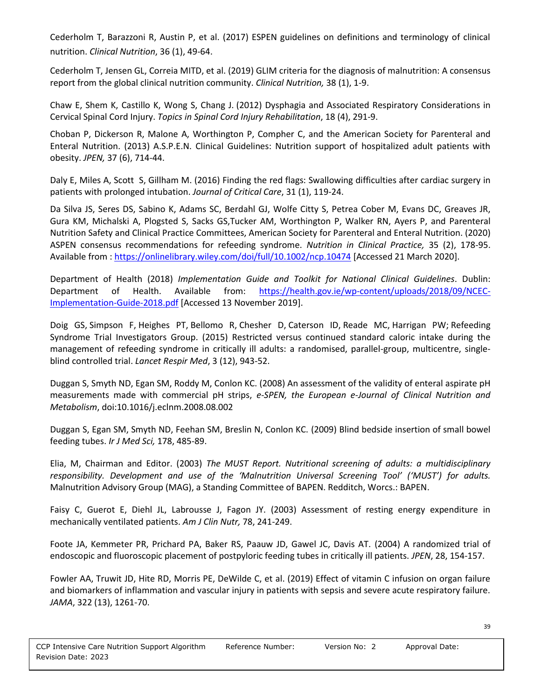Cederholm T, Barazzoni R, Austin P, et al. (2017) ESPEN guidelines on definitions and terminology of clinical nutrition. *Clinical Nutrition*, 36 (1), 49-64.

Cederholm T, Jensen GL, Correia MITD, et al. (2019) GLIM criteria for the diagnosis of malnutrition: A consensus report from the global clinical nutrition community. *Clinical Nutrition,* 38 (1), 1-9.

Chaw E, Shem K, Castillo K, Wong S, Chang J. (2012) Dysphagia and Associated Respiratory Considerations in Cervical Spinal Cord Injury. *Topics in Spinal Cord Injury Rehabilitation*, 18 (4), 291-9.

Choban P, Dickerson R, Malone A, Worthington P, Compher C, and the American Society for Parenteral and Enteral Nutrition. (2013) A.S.P.E.N. Clinical Guidelines: Nutrition support of hospitalized adult patients with obesity. *JPEN,* 37 (6), 714-44.

[Daly E, Miles A, Scott S, Gillham M. \(2016\) F](https://www.sciencedirect.com/science/article/abs/pii/S0883944115005377#!)inding the red flags: Swallowing difficulties after cardiac surgery in patients with prolonged intubation. *[Journal of Critical Care](https://www.sciencedirect.com/science/journal/08839441)*, [31 \(1\)](https://www.sciencedirect.com/science/journal/08839441/31/1), 119-24.

Da Silva JS, Seres DS, Sabino K, Adams SC, Berdahl GJ, Wolfe Citty S, Petrea Cober M, Evans DC, Greaves JR, Gura KM, Michalski A, Plogsted S, Sacks GS,Tucker AM, Worthington P, Walker RN, Ayers P, and Parenteral Nutrition Safety and Clinical Practice Committees, American Society for Parenteral and Enteral Nutrition. (2020) ASPEN consensus recommendations for refeeding syndrome. *Nutrition in Clinical Practice,* 35 (2), 178-95. Available from [: https://onlinelibrary.wiley.com/doi/full/10.1002/ncp.10474](https://onlinelibrary.wiley.com/doi/full/10.1002/ncp.10474) [Accessed 21 March 2020].

Department of Health (2018) *Implementation Guide and Toolkit for National Clinical Guidelines*. Dublin: Department of Health. Available from: [https://health.gov.ie/wp-content/uploads/2018/09/NCEC-](https://health.gov.ie/wp-content/uploads/2018/09/NCEC-Implementation-Guide-2018.pdf)[Implementation-Guide-2018.pdf](https://health.gov.ie/wp-content/uploads/2018/09/NCEC-Implementation-Guide-2018.pdf) [Accessed 13 November 2019].

[Doig GS,](https://www.ncbi.nlm.nih.gov/pubmed/?term=Doig%20GS%5BAuthor%5D&cauthor=true&cauthor_uid=26597128) [Simpson F,](https://www.ncbi.nlm.nih.gov/pubmed/?term=Simpson%20F%5BAuthor%5D&cauthor=true&cauthor_uid=26597128) [Heighes PT,](https://www.ncbi.nlm.nih.gov/pubmed/?term=Heighes%20PT%5BAuthor%5D&cauthor=true&cauthor_uid=26597128) [Bellomo R,](https://www.ncbi.nlm.nih.gov/pubmed/?term=Bellomo%20R%5BAuthor%5D&cauthor=true&cauthor_uid=26597128) [Chesher D,](https://www.ncbi.nlm.nih.gov/pubmed/?term=Chesher%20D%5BAuthor%5D&cauthor=true&cauthor_uid=26597128) [Caterson ID,](https://www.ncbi.nlm.nih.gov/pubmed/?term=Caterson%20ID%5BAuthor%5D&cauthor=true&cauthor_uid=26597128) [Reade MC,](https://www.ncbi.nlm.nih.gov/pubmed/?term=Reade%20MC%5BAuthor%5D&cauthor=true&cauthor_uid=26597128) [Harrigan PW;](https://www.ncbi.nlm.nih.gov/pubmed/?term=Harrigan%20PW%5BAuthor%5D&cauthor=true&cauthor_uid=26597128) [Refeeding](https://www.ncbi.nlm.nih.gov/pubmed/?term=Refeeding%20Syndrome%20Trial%20Investigators%20Group%5BCorporate%20Author%5D)  [Syndrome Trial Investigators Group.](https://www.ncbi.nlm.nih.gov/pubmed/?term=Refeeding%20Syndrome%20Trial%20Investigators%20Group%5BCorporate%20Author%5D) (2015) Restricted versus continued standard caloric intake during the management of refeeding syndrome in critically ill adults: a randomised, parallel-group, multicentre, singleblind controlled trial. *[Lancet Respir Med](https://www.ncbi.nlm.nih.gov/pubmed/26597128)*, 3 (12), 943-52.

Duggan S, Smyth ND, Egan SM, Roddy M, Conlon KC. (2008) An assessment of the validity of enteral aspirate pH measurements made with commercial pH strips, *e-SPEN, the European e-Journal of Clinical Nutrition and Metabolism*, doi:10.1016/j.eclnm.2008.08.002

Duggan S, Egan SM, Smyth ND, Feehan SM, Breslin N, Conlon KC. (2009) Blind bedside insertion of small bowel feeding tubes. *Ir J Med Sci,* 178, 485-89.

Elia, M, Chairman and Editor. (2003) *The MUST Report. Nutritional screening of adults: a multidisciplinary responsibility. Development and use of the 'Malnutrition Universal Screening Tool' ('MUST') for adults.*  Malnutrition Advisory Group (MAG), a Standing Committee of BAPEN. Redditch, Worcs.: BAPEN.

Faisy C, Guerot E, Diehl JL, Labrousse J, Fagon JY. (2003) Assessment of resting energy expenditure in mechanically ventilated patients. *Am J Clin Nutr,* 78, 241-249.

Foote JA, Kemmeter PR, Prichard PA, Baker RS, Paauw JD, Gawel JC, Davis AT. (2004) A randomized trial of endoscopic and fluoroscopic placement of postpyloric feeding tubes in critically ill patients. *JPEN*, 28, 154-157.

Fowler AA, Truwit JD, Hite RD, Morris PE, DeWilde C, et al. (2019) Effect of vitamin C infusion on organ failure and biomarkers of inflammation and vascular injury in patients with sepsis and severe acute respiratory failure. *JAMA*, 322 (13), 1261-70.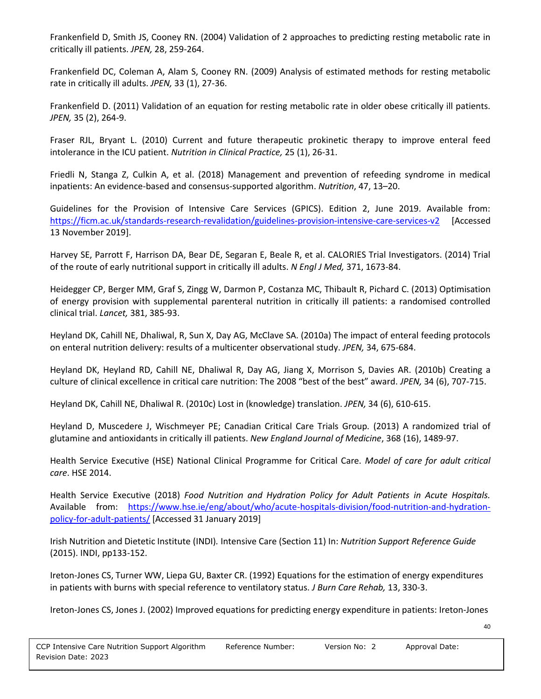Frankenfield D, Smith JS, Cooney RN. (2004) Validation of 2 approaches to predicting resting metabolic rate in critically ill patients. *JPEN,* 28, 259-264.

Frankenfield DC, Coleman A, Alam S, Cooney RN. (2009) Analysis of estimated methods for resting metabolic rate in critically ill adults. *JPEN,* 33 (1), 27-36.

Frankenfield D. (2011) Validation of an equation for resting metabolic rate in older obese critically ill patients. *JPEN,* 35 (2), 264-9.

Fraser RJL, Bryant L. (2010) Current and future therapeutic prokinetic therapy to improve enteral feed intolerance in the ICU patient. *Nutrition in Clinical Practice,* 25 (1), 26-31.

Friedli N, Stanga Z, Culkin A, et al. (2018) Management and prevention of refeeding syndrome in medical inpatients: An evidence-based and consensus-supported algorithm. *Nutrition*, 47, 13–20.

Guidelines for the Provision of Intensive Care Services (GPICS). Edition 2, June 2019. Available from: <https://ficm.ac.uk/standards-research-revalidation/guidelines-provision-intensive-care-services-v2> [Accessed 13 November 2019].

Harvey SE, Parrott F, Harrison DA, Bear DE, Segaran E, Beale R, et al. CALORIES Trial Investigators. (2014) Trial of the route of early nutritional support in critically ill adults. *N Engl J Med,* 371, 1673-84.

Heidegger CP, Berger MM, Graf S, Zingg W, Darmon P, Costanza MC, Thibault R, Pichard C. (2013) Optimisation of energy provision with supplemental parenteral nutrition in critically ill patients: a randomised controlled clinical trial. *Lancet,* 381, 385-93.

Heyland DK, Cahill NE, Dhaliwal, R, Sun X, Day AG, McClave SA. (2010a) The impact of enteral feeding protocols on enteral nutrition delivery: results of a multicenter observational study. *JPEN,* 34, 675-684.

Heyland DK, Heyland RD, Cahill NE, Dhaliwal R, Day AG, Jiang X, Morrison S, Davies AR. (2010b) Creating a culture of clinical excellence in critical care nutrition: The 2008 "best of the best" award. *JPEN,* 34 (6), 707-715.

Heyland DK, Cahill NE, Dhaliwal R. (2010c) Lost in (knowledge) translation. *JPEN,* 34 (6), 610-615.

Heyland D, Muscedere J, Wischmeyer PE; Canadian Critical Care Trials Group. (2013) A randomized trial of glutamine and antioxidants in critically ill patients. *New England Journal of Medicine*, 368 (16), 1489-97.

Health Service Executive (HSE) National Clinical Programme for Critical Care. *Model of care for adult critical care*. HSE 2014.

Health Service Executive (2018) *Food Nutrition and Hydration Policy for Adult Patients in Acute Hospitals.* Available from: [https://www.hse.ie/eng/about/who/acute-hospitals-division/food-nutrition-and-hydration](https://www.hse.ie/eng/about/who/acute-hospitals-division/food-nutrition-and-hydration-policy-for-adult-patients/)[policy-for-adult-patients/](https://www.hse.ie/eng/about/who/acute-hospitals-division/food-nutrition-and-hydration-policy-for-adult-patients/) [Accessed 31 January 2019]

Irish Nutrition and Dietetic Institute (INDI)*.* Intensive Care (Section 11) In: *Nutrition Support Reference Guide*  (2015). INDI, pp133-152.

Ireton-Jones CS, Turner WW, Liepa GU, Baxter CR. (1992) Equations for the estimation of energy expenditures in patients with burns with special reference to ventilatory status. *J Burn Care Rehab,* 13, 330-3.

Ireton-Jones CS, Jones J. (2002) Improved equations for predicting energy expenditure in patients: Ireton-Jones

40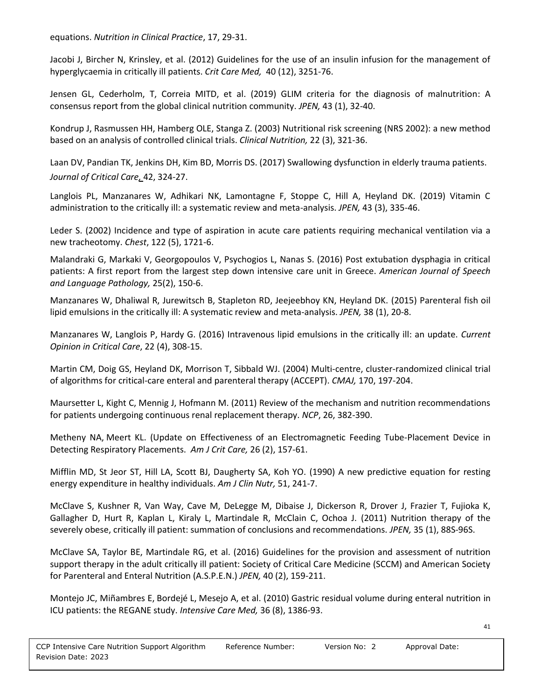equations. *Nutrition in Clinical Practice*, 17, 29-31.

Jacobi J, Bircher N, Krinsley, et al. (2012) Guidelines for the use of an insulin infusion for the management of hyperglycaemia in critically ill patients. *Crit Care Med,* 40 (12), 3251-76.

Jensen GL, Cederholm, T, Correia MITD, et al. (2019) GLIM criteria for the diagnosis of malnutrition: A consensus report from the global clinical nutrition community. *JPEN,* 43 (1), 32-40.

Kondrup J, Rasmussen HH, Hamberg OLE, Stanga Z. (2003) Nutritional risk screening (NRS 2002): a new method based on an analysis of controlled clinical trials. *Clinical Nutrition,* 22 (3), 321-36.

[Laan DV, Pandian](https://www.sciencedirect.com/science/article/abs/pii/S0883944116302398#!) TK, [Jenkins DH, Kim BD, Morris DS](https://www.sciencedirect.com/science/article/abs/pii/S0883944116302398#!). (2017) Swallowing dysfunction in elderly trauma patients. *[Journal of Critical Care,](https://www.sciencedirect.com/science/journal/08839441)* [42,](https://www.sciencedirect.com/science/journal/08839441/42/supp/C) 324-27.

Langlois PL, Manzanares W, Adhikari NK, Lamontagne F, Stoppe C, Hill A, Heyland DK. (2019) Vitamin C administration to the critically ill: a systematic review and meta-analysis. *JPEN,* 43 (3), 335-46.

Leder S. (2002) Incidence and type of aspiration in acute care patients requiring mechanical ventilation via a new tracheotomy. *Chest*, 122 (5), 1721-6.

Malandraki G, Markaki V, Georgopoulos V, Psychogios L, Nanas S. (2016) Post extubation dysphagia in critical patients: A first report from the largest step down intensive care unit in Greece. *American Journal of Speech and Language Pathology,* 25(2), 150-6.

Manzanares W, Dhaliwal R, Jurewitsch B, Stapleton RD, Jeejeebhoy KN, Heyland DK. (2015) Parenteral fish oil lipid emulsions in the critically ill: A systematic review and meta-analysis. *JPEN,* 38 (1), 20-8.

Manzanares W, Langlois P, Hardy G. (2016) Intravenous lipid emulsions in the critically ill: an update. *[Current](http://www.ingentaconnect.com/content/wk/cocca;jsessionid=eaq34n5kmea23.x-ic-live-03)  [Opinion in Critical Care](http://www.ingentaconnect.com/content/wk/cocca;jsessionid=eaq34n5kmea23.x-ic-live-03)*, 22 (4), 308-15.

Martin CM, Doig GS, Heyland DK, Morrison T, Sibbald WJ. (2004) Multi-centre, cluster-randomized clinical trial of algorithms for critical-care enteral and parenteral therapy (ACCEPT). *CMAJ,* 170, 197-204.

Maursetter L, Kight C, Mennig J, Hofmann M. (2011) Review of the mechanism and nutrition recommendations for patients undergoing continuous renal replacement therapy. *NCP*, 26, 382-390.

[Metheny NA,](https://www.ncbi.nlm.nih.gov/pubmed/?term=Metheny%20NA%5BAuthor%5D&cauthor=true&cauthor_uid=28249869) [Meert KL.](https://www.ncbi.nlm.nih.gov/pubmed/?term=Meert%20KL%5BAuthor%5D&cauthor=true&cauthor_uid=28249869) (Update on Effectiveness of an Electromagnetic Feeding Tube-Placement Device in Detecting Respiratory Placements. *[Am J Crit Care,](https://www.ncbi.nlm.nih.gov/pubmed/28249869)* 26 (2), 157-61.

Mifflin MD, St Jeor ST, Hill LA, Scott BJ, Daugherty SA, Koh YO. (1990) A new predictive equation for resting energy expenditure in healthy individuals. *Am J Clin Nutr,* 51, 241-7.

McClave S, Kushner R, Van Way, Cave M, DeLegge M, Dibaise J, Dickerson R, Drover J, Frazier T, Fujioka K, Gallagher D, Hurt R, Kaplan L, Kiraly L, Martindale R, McClain C, Ochoa J. (2011) Nutrition therapy of the severely obese, critically ill patient: summation of conclusions and recommendations. *JPEN,* 35 (1), 88S-96S.

McClave SA, Taylor BE, Martindale RG, et al. (2016) Guidelines for the provision and assessment of nutrition support therapy in the adult critically ill patient: Society of Critical Care Medicine (SCCM) and American Society for Parenteral and Enteral Nutrition (A.S.P.E.N.) *JPEN,* 40 (2), 159-211.

Montejo JC, [Miñambres E,](https://www.ncbi.nlm.nih.gov/pubmed/?term=Mi%C3%B1ambres%20E%5BAuthor%5D&cauthor=true&cauthor_uid=20232036) [Bordejé L,](https://www.ncbi.nlm.nih.gov/pubmed/?term=Bordej%C3%A9%20L%5BAuthor%5D&cauthor=true&cauthor_uid=20232036) [Mesejo A,](https://www.ncbi.nlm.nih.gov/pubmed/?term=Mesejo%20A%5BAuthor%5D&cauthor=true&cauthor_uid=20232036) et al. (2010) Gastric residual volume during enteral nutrition in ICU patients: the REGANE study. *[Intensive Care Med,](https://www.ncbi.nlm.nih.gov/pubmed/20232036)* 36 (8), 1386-93.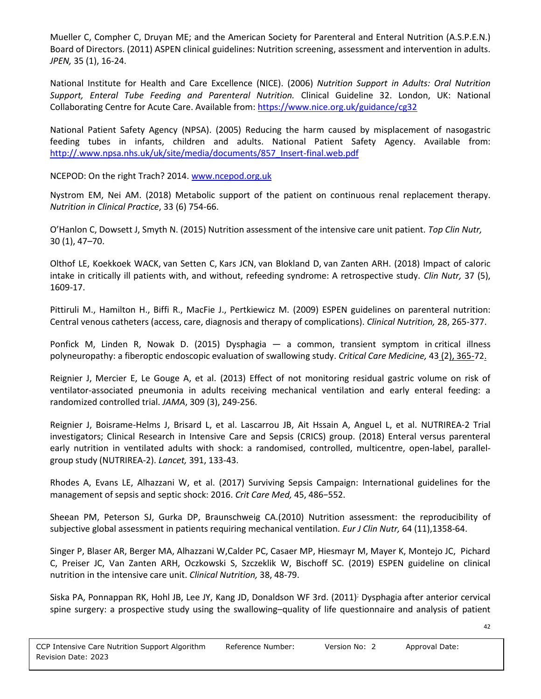Mueller C, Compher C, Druyan ME; and the American Society for Parenteral and Enteral Nutrition (A.S.P.E.N.) Board of Directors. (2011) ASPEN clinical guidelines: Nutrition screening, assessment and intervention in adults. *JPEN,* 35 (1), 16-24.

National Institute for Health and Care Excellence (NICE). (2006) *Nutrition Support in Adults: Oral Nutrition Support, Enteral Tube Feeding and Parenteral Nutrition.* Clinical Guideline 32. London, UK: National Collaborating Centre for Acute Care. Available from[: https://www.nice.org.uk/guidance/cg32](https://www.nice.org.uk/guidance/cg32)

National Patient Safety Agency (NPSA). (2005) Reducing the harm caused by misplacement of nasogastric feeding tubes in infants, children and adults. National Patient Safety Agency. Available from: [http://.www.npsa.nhs.uk/uk/site/media/documents/857\\_Insert-final.web.pdf](http://.www.npsa.nhs.uk/uk/site/media/documents/857_Insert-final.web.pdf)

NCEPOD: On the right Trach? 2014[. www.ncepod.org.uk](http://www.ncepod.org.uk/)

Nystrom EM, Nei AM. (2018) Metabolic support of the patient on continuous renal replacement therapy. *Nutrition in Clinical Practice*, 33 (6) 754-66.

O'Hanlon C, Dowsett J, Smyth N. (2015) Nutrition assessment of the intensive care unit patient. *Top Clin Nutr,*  30 (1), 47–70.

Olthof LE, [Koekkoek WACK,](https://www.ncbi.nlm.nih.gov/pubmed/?term=Koekkoek%20WACK%5BAuthor%5D&cauthor=true&cauthor_uid=28866139) [van Setten C,](https://www.ncbi.nlm.nih.gov/pubmed/?term=van%20Setten%20C%5BAuthor%5D&cauthor=true&cauthor_uid=28866139) [Kars JCN,](https://www.ncbi.nlm.nih.gov/pubmed/?term=Kars%20JCN%5BAuthor%5D&cauthor=true&cauthor_uid=28866139) [van Blokland D,](https://www.ncbi.nlm.nih.gov/pubmed/?term=van%20Blokland%20D%5BAuthor%5D&cauthor=true&cauthor_uid=28866139) [van Zanten ARH.](https://www.ncbi.nlm.nih.gov/pubmed/?term=van%20Zanten%20ARH%5BAuthor%5D&cauthor=true&cauthor_uid=28866139) (2018) Impact of caloric intake in critically ill patients with, and without, refeeding syndrome: A retrospective study. *[Clin Nutr,](https://www.ncbi.nlm.nih.gov/pubmed/28866139)* 37 (5), 1609-17.

Pittiruli M., Hamilton H., Biffi R., MacFie J., Pertkiewicz M. (2009) ESPEN guidelines on parenteral nutrition: Central venous catheters (access, care, diagnosis and therapy of complications). *Clinical Nutrition,* 28, 265-377.

Ponfick M, Linden R, Nowak D. (2015) Dysphagia — a common, transient symptom in critical illness polyneuropathy: a fiberoptic endoscopic evaluation of swallowing study. *Critical Care Medicine,* 43 [\(2\), 365-72.](https://journals.lww.com/ccmjournal/toc/2015/02000)

Reignier J, Mercier E, Le Gouge A, et al. (2013) Effect of not monitoring residual gastric volume on risk of ventilator-associated pneumonia in adults receiving mechanical ventilation and early enteral feeding: a randomized controlled trial. *JAMA*, 309 (3), 249-256.

Reignier J, Boisrame-Helms J, Brisard L, et al. Lascarrou JB, Ait Hssain A, Anguel L, et al. NUTRIREA-2 Trial investigators; Clinical Research in Intensive Care and Sepsis (CRICS) group. (2018) Enteral versus parenteral early nutrition in ventilated adults with shock: a randomised, controlled, multicentre, open-label, parallelgroup study (NUTRIREA-2). *Lancet,* 391, 133-43.

Rhodes A, Evans LE, Alhazzani W, et al. (2017) Surviving Sepsis Campaign: International guidelines for the management of sepsis and septic shock: 2016. *Crit Care Med,* 45, 486−552.

Sheean PM, Peterson SJ, Gurka DP, Braunschweig CA.(2010) Nutrition assessment: the reproducibility of subjective global assessment in patients requiring mechanical ventilation. *Eur J Clin Nutr,* 64 (11),1358-64.

Singer P, Blaser AR, Berger MA, Alhazzani W,Calder PC, Casaer MP, Hiesmayr M, Mayer K, Montejo JC, Pichard C, Preiser JC, Van Zanten ARH, Oczkowski S, Szczeklik W, Bischoff SC. (2019) ESPEN guideline on clinical nutrition in the intensive care unit. *Clinical Nutrition,* 38, 48-79.

Siska PA, Ponnappan RK, Hohl JB, Lee JY, Kang JD, Donaldson WF 3rd. (2011); Dysphagia after anterior cervical spine surgery: a prospective study using the swallowing–quality of life questionnaire and analysis of patient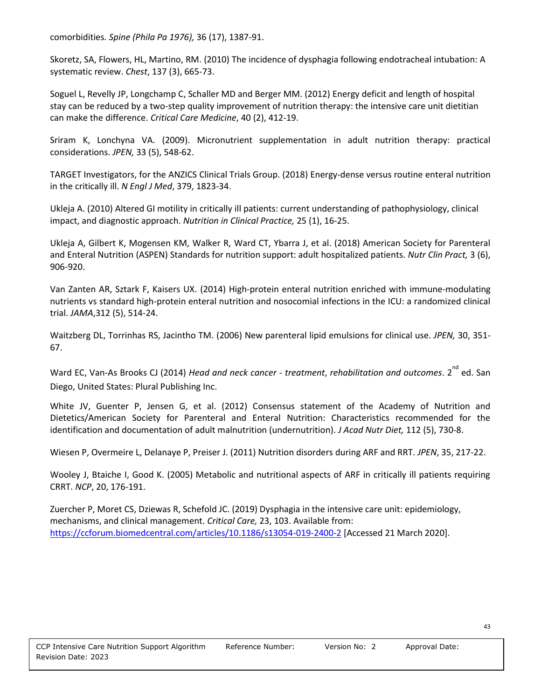comorbidities*[. Spine \(Phila Pa 1976\),](https://www.ncbi.nlm.nih.gov/pubmed/21785303)* [36 \(17\), 1387-91.](https://cdn.journals.lww.com/spinejournal/toc/2011/08010)

Skoretz, SA, Flowers, HL, Martino, RM. (2010) The incidence of dysphagia following endotracheal intubation: A systematic review. *Chest*, 137 (3), 665-73.

Soguel L, Revelly JP, Longchamp C, Schaller MD and Berger MM. (2012) Energy deficit and length of hospital stay can be reduced by a two-step quality improvement of nutrition therapy: the intensive care unit dietitian can make the difference. *Critical Care Medicine*, 40 (2), 412-19.

Sriram K, Lonchyna VA. (2009). Micronutrient supplementation in adult nutrition therapy: practical considerations. *JPEN,* 33 (5), 548-62.

TARGET Investigators, for the ANZICS Clinical Trials Group. (2018) Energy-dense versus routine enteral nutrition in the critically ill. *N Engl J Med*, 379, 1823-34.

Ukleja A. (2010) Altered GI motility in critically ill patients: current understanding of pathophysiology, clinical impact, and diagnostic approach. *Nutrition in Clinical Practice,* 25 (1), 16-25.

Ukleja A, Gilbert K, Mogensen KM, Walker R, Ward CT, Ybarra J, et al. (2018) American Society for Parenteral and Enteral Nutrition (ASPEN) Standards for nutrition support: adult hospitalized patients. *Nutr Clin Pract,* 3 (6), 906-920.

Van Zanten AR, Sztark F, Kaisers UX. (2014) High-protein enteral nutrition enriched with immune-modulating nutrients vs standard high-protein enteral nutrition and nosocomial infections in the ICU: a randomized clinical trial. *JAMA*,312 (5), 514-24.

Waitzberg DL, Torrinhas RS, Jacintho TM. (2006) New parenteral lipid emulsions for clinical use. *JPEN,* 30, 351- 67.

Ward EC, Van-As Brooks CJ (2014) *Head and neck cancer - treatment, rehabilitation and outcomes*. 2<sup>nd</sup> ed. San Diego, United States: Plural Publishing Inc.

White JV, Guenter P, Jensen G, et al. (2012) Consensus statement of the Academy of Nutrition and Dietetics/American Society for Parenteral and Enteral Nutrition: Characteristics recommended for the identification and documentation of adult malnutrition (undernutrition). *J Acad Nutr Diet,* 112 (5), 730-8.

Wiesen P, Overmeire L, Delanaye P, Preiser J. (2011) Nutrition disorders during ARF and RRT. *JPEN*, 35, 217-22.

Wooley J, Btaiche I, Good K. (2005) Metabolic and nutritional aspects of ARF in critically ill patients requiring CRRT. *NCP*, 20, 176-191.

Zuercher P, Moret CS, Dziewas R, Schefold JC. (2019) Dysphagia in the intensive care unit: epidemiology, mechanisms, and clinical management. *Critical Care,* 23, 103. Available from: <https://ccforum.biomedcentral.com/articles/10.1186/s13054-019-2400-2> [Accessed 21 March 2020].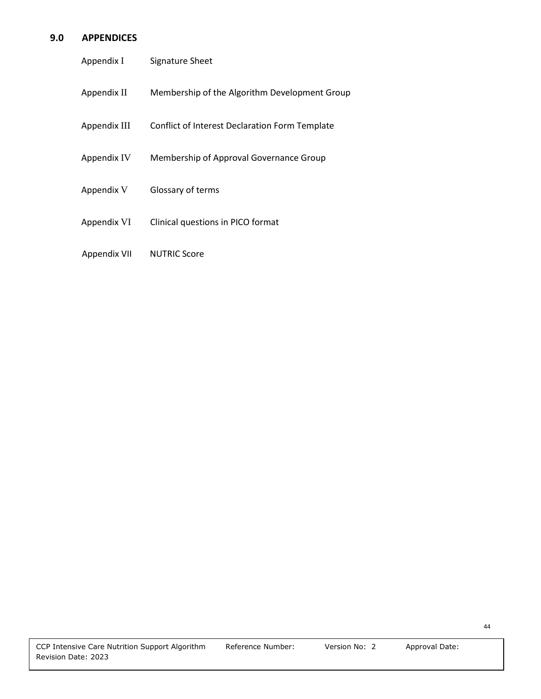## **9.0 APPENDICES**

| Appendix I   | Signature Sheet                                |
|--------------|------------------------------------------------|
| Appendix II  | Membership of the Algorithm Development Group  |
| Appendix III | Conflict of Interest Declaration Form Template |
| Appendix IV  | Membership of Approval Governance Group        |
| Appendix V   | Glossary of terms                              |
| Appendix VI  | Clinical questions in PICO format              |
| Appendix VII | <b>NUTRIC Score</b>                            |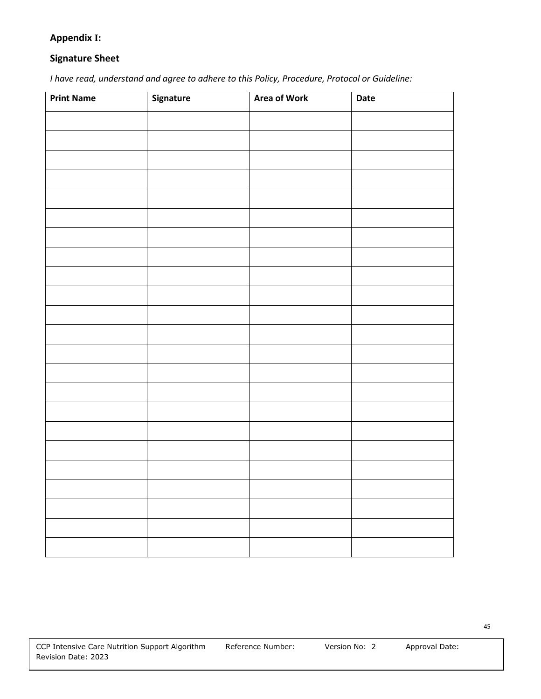## **Appendix I:**

## **Signature Sheet**

*I have read, understand and agree to adhere to this Policy, Procedure, Protocol or Guideline:*

| <b>Print Name</b> | Signature | <b>Area of Work</b> | Date |
|-------------------|-----------|---------------------|------|
|                   |           |                     |      |
|                   |           |                     |      |
|                   |           |                     |      |
|                   |           |                     |      |
|                   |           |                     |      |
|                   |           |                     |      |
|                   |           |                     |      |
|                   |           |                     |      |
|                   |           |                     |      |
|                   |           |                     |      |
|                   |           |                     |      |
|                   |           |                     |      |
|                   |           |                     |      |
|                   |           |                     |      |
|                   |           |                     |      |
|                   |           |                     |      |
|                   |           |                     |      |
|                   |           |                     |      |
|                   |           |                     |      |
|                   |           |                     |      |
|                   |           |                     |      |
|                   |           |                     |      |
|                   |           |                     |      |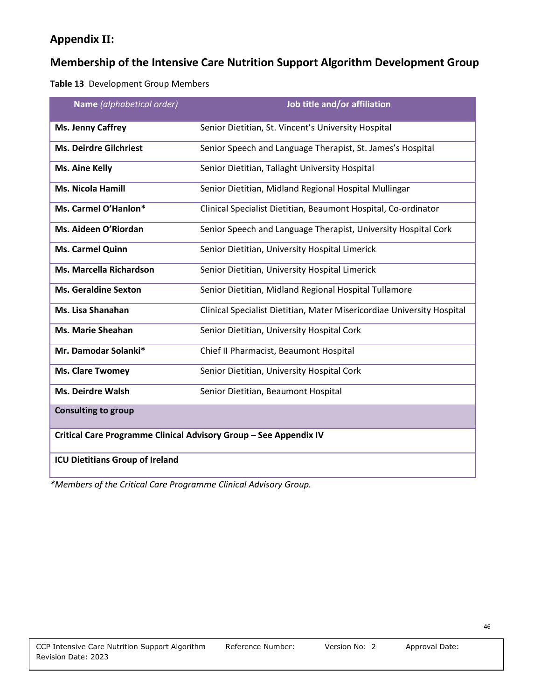## **Appendix II:**

## **Membership of the Intensive Care Nutrition Support Algorithm Development Group**

**Table 13** Development Group Members

| Name (alphabetical order)                                         | Job title and/or affiliation                                           |
|-------------------------------------------------------------------|------------------------------------------------------------------------|
| <b>Ms. Jenny Caffrey</b>                                          | Senior Dietitian, St. Vincent's University Hospital                    |
| <b>Ms. Deirdre Gilchriest</b>                                     | Senior Speech and Language Therapist, St. James's Hospital             |
| <b>Ms. Aine Kelly</b>                                             | Senior Dietitian, Tallaght University Hospital                         |
| <b>Ms. Nicola Hamill</b>                                          | Senior Dietitian, Midland Regional Hospital Mullingar                  |
| Ms. Carmel O'Hanlon*                                              | Clinical Specialist Dietitian, Beaumont Hospital, Co-ordinator         |
| Ms. Aideen O'Riordan                                              | Senior Speech and Language Therapist, University Hospital Cork         |
| Ms. Carmel Quinn                                                  | Senior Dietitian, University Hospital Limerick                         |
| Ms. Marcella Richardson                                           | Senior Dietitian, University Hospital Limerick                         |
| <b>Ms. Geraldine Sexton</b>                                       | Senior Dietitian, Midland Regional Hospital Tullamore                  |
| Ms. Lisa Shanahan                                                 | Clinical Specialist Dietitian, Mater Misericordiae University Hospital |
| <b>Ms. Marie Sheahan</b>                                          | Senior Dietitian, University Hospital Cork                             |
| Mr. Damodar Solanki*                                              | Chief II Pharmacist, Beaumont Hospital                                 |
| <b>Ms. Clare Twomey</b>                                           | Senior Dietitian, University Hospital Cork                             |
| <b>Ms. Deirdre Walsh</b>                                          | Senior Dietitian, Beaumont Hospital                                    |
| <b>Consulting to group</b>                                        |                                                                        |
| Critical Care Programme Clinical Advisory Group - See Appendix IV |                                                                        |
| <b>ICU Dietitians Group of Ireland</b>                            |                                                                        |

*\*Members of the Critical Care Programme Clinical Advisory Group.*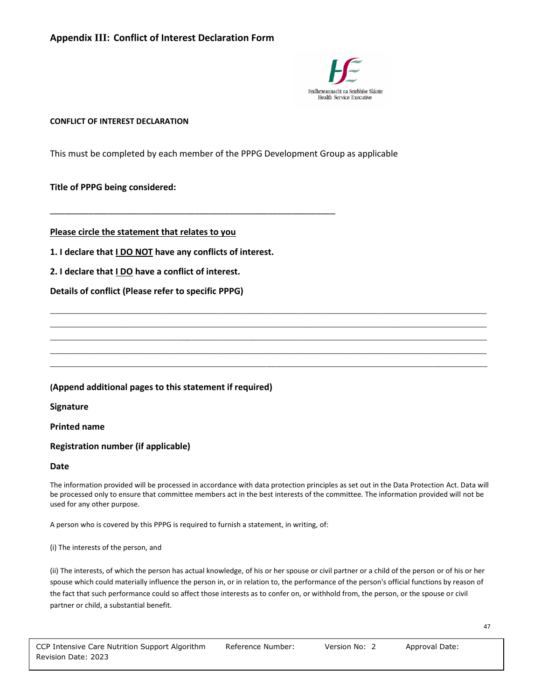

#### **CONFLICT OF INTEREST DECLARATION**

This must be completed by each member of the PPPG Development Group as applicable

#### **Title of PPPG being considered:**

**Please circle the statement that relates to you**

**1. I declare that I DO NOT have any conflicts of interest.**

\_\_\_\_\_\_\_\_\_\_\_\_\_\_\_\_\_\_\_\_\_\_\_\_\_\_\_\_\_\_\_\_\_\_\_\_\_\_\_\_\_\_\_\_\_\_\_\_\_\_\_\_\_\_\_\_\_\_\_

**2. I declare that I DO have a conflict of interest.** 

**Details of conflict (Please refer to specific PPPG)**

#### **(Append additional pages to this statement if required)**

**Signature**

**Printed name**

#### **Registration number (if applicable)**

#### **Date**

The information provided will be processed in accordance with data protection principles as set out in the Data Protection Act. Data will be processed only to ensure that committee members act in the best interests of the committee. The information provided will not be used for any other purpose.

**\_\_\_\_\_\_\_\_\_\_\_\_\_\_\_\_\_\_\_\_\_\_\_\_\_\_\_\_\_\_\_\_\_\_\_\_\_\_\_\_\_\_\_\_\_\_\_\_\_\_\_\_\_\_\_\_\_\_\_\_\_\_\_\_\_\_\_\_\_\_\_\_\_\_\_\_\_\_\_\_\_\_\_\_\_\_\_\_\_\_\_\_\_\_\_\_\_\_\_ \_\_\_\_\_\_\_\_\_\_\_\_\_\_\_\_\_\_\_\_\_\_\_\_\_\_\_\_\_\_\_\_\_\_\_\_\_\_\_\_\_\_\_\_\_\_\_\_\_\_\_\_\_\_\_\_\_\_\_\_\_\_\_\_\_\_\_\_\_\_\_\_\_\_\_\_\_\_\_\_\_\_\_\_\_\_\_\_\_\_\_\_\_\_\_\_\_\_\_ \_\_\_\_\_\_\_\_\_\_\_\_\_\_\_\_\_\_\_\_\_\_\_\_\_\_\_\_\_\_\_\_\_\_\_\_\_\_\_\_\_\_\_\_\_\_\_\_\_\_\_\_\_\_\_\_\_\_\_\_\_\_\_\_\_\_\_\_\_\_\_\_\_\_\_\_\_\_\_\_\_\_\_\_\_\_\_\_\_\_\_\_\_\_\_\_\_\_\_ \_\_\_\_\_\_\_\_\_\_\_\_\_\_\_\_\_\_\_\_\_\_\_\_\_\_\_\_\_\_\_\_\_\_\_\_\_\_\_\_\_\_\_\_\_\_\_\_\_\_\_\_\_\_\_\_\_\_\_\_\_\_\_\_\_\_\_\_\_\_\_\_\_\_\_\_\_\_\_\_\_\_\_\_\_\_\_\_\_\_\_\_\_\_\_\_\_\_\_ \_\_\_\_\_\_\_\_\_\_\_\_\_\_\_\_\_\_\_\_\_\_\_\_\_\_\_\_\_\_\_\_\_\_\_\_\_\_\_\_\_\_\_\_\_\_\_\_\_\_\_\_\_\_\_\_\_\_\_\_\_\_\_\_\_\_\_\_\_\_\_\_\_\_\_\_\_\_\_\_\_\_\_\_\_\_\_\_\_\_\_\_\_\_\_\_\_\_\_**

A person who is covered by this PPPG is required to furnish a statement, in writing, of:

(i) The interests of the person, and

(ii) The interests, of which the person has actual knowledge, of his or her spouse or civil partner or a child of the person or of his or her spouse which could materially influence the person in, or in relation to, the performance of the person's official functions by reason of the fact that such performance could so affect those interests as to confer on, or withhold from, the person, or the spouse or civil partner or child, a substantial benefit.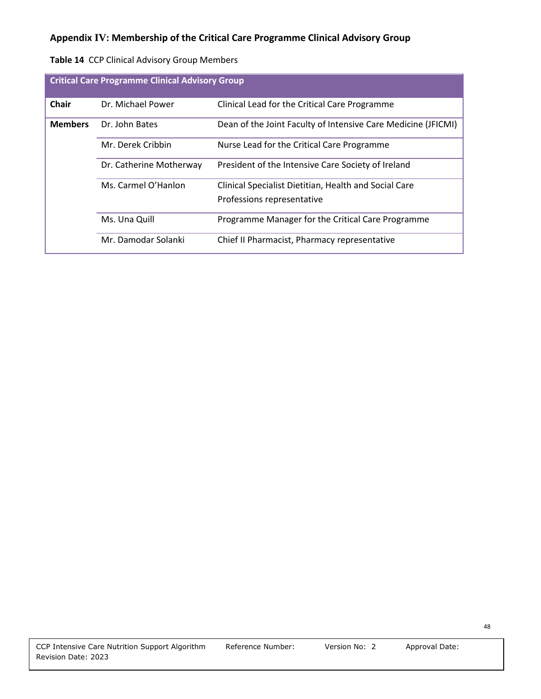| Table 14 CCP Clinical Advisory Group Members |
|----------------------------------------------|
|                                              |

| <b>Critical Care Programme Clinical Advisory Group</b> |                         |                                                               |
|--------------------------------------------------------|-------------------------|---------------------------------------------------------------|
| <b>Chair</b>                                           | Dr. Michael Power       | Clinical Lead for the Critical Care Programme                 |
| <b>Members</b>                                         | Dr. John Bates          | Dean of the Joint Faculty of Intensive Care Medicine (JFICMI) |
|                                                        | Mr. Derek Cribbin       | Nurse Lead for the Critical Care Programme                    |
|                                                        | Dr. Catherine Motherway | President of the Intensive Care Society of Ireland            |
|                                                        | Ms. Carmel O'Hanlon     | Clinical Specialist Dietitian, Health and Social Care         |
|                                                        |                         | Professions representative                                    |
|                                                        | Ms. Una Quill           | Programme Manager for the Critical Care Programme             |
|                                                        | Mr. Damodar Solanki     | Chief II Pharmacist, Pharmacy representative                  |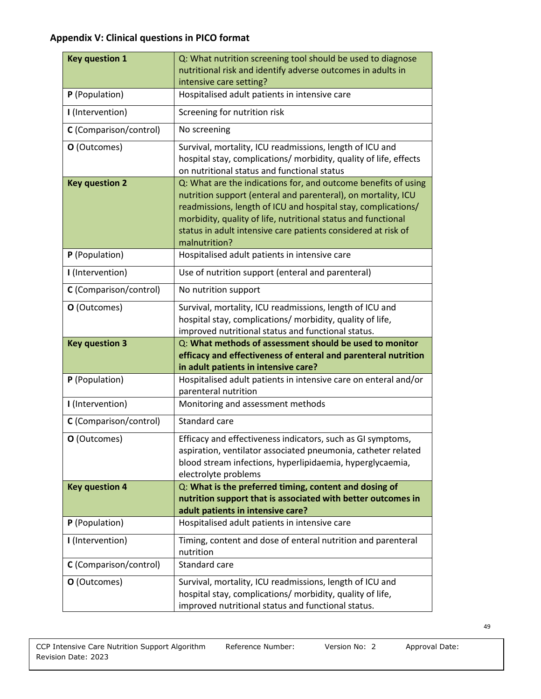## **Appendix V: Clinical questions in PICO format**

| <b>Key question 1</b>  | Q: What nutrition screening tool should be used to diagnose                                                                                                                                                                                                                                                                                         |
|------------------------|-----------------------------------------------------------------------------------------------------------------------------------------------------------------------------------------------------------------------------------------------------------------------------------------------------------------------------------------------------|
|                        | nutritional risk and identify adverse outcomes in adults in<br>intensive care setting?                                                                                                                                                                                                                                                              |
| P (Population)         | Hospitalised adult patients in intensive care                                                                                                                                                                                                                                                                                                       |
| I (Intervention)       | Screening for nutrition risk                                                                                                                                                                                                                                                                                                                        |
| C (Comparison/control) | No screening                                                                                                                                                                                                                                                                                                                                        |
| O (Outcomes)           | Survival, mortality, ICU readmissions, length of ICU and<br>hospital stay, complications/ morbidity, quality of life, effects<br>on nutritional status and functional status                                                                                                                                                                        |
| <b>Key question 2</b>  | Q: What are the indications for, and outcome benefits of using<br>nutrition support (enteral and parenteral), on mortality, ICU<br>readmissions, length of ICU and hospital stay, complications/<br>morbidity, quality of life, nutritional status and functional<br>status in adult intensive care patients considered at risk of<br>malnutrition? |
| P (Population)         | Hospitalised adult patients in intensive care                                                                                                                                                                                                                                                                                                       |
| I (Intervention)       | Use of nutrition support (enteral and parenteral)                                                                                                                                                                                                                                                                                                   |
| C (Comparison/control) | No nutrition support                                                                                                                                                                                                                                                                                                                                |
| O (Outcomes)           | Survival, mortality, ICU readmissions, length of ICU and<br>hospital stay, complications/ morbidity, quality of life,<br>improved nutritional status and functional status.                                                                                                                                                                         |
| <b>Key question 3</b>  | Q: What methods of assessment should be used to monitor<br>efficacy and effectiveness of enteral and parenteral nutrition                                                                                                                                                                                                                           |
|                        | in adult patients in intensive care?                                                                                                                                                                                                                                                                                                                |
| P (Population)         | Hospitalised adult patients in intensive care on enteral and/or<br>parenteral nutrition                                                                                                                                                                                                                                                             |
| I (Intervention)       | Monitoring and assessment methods                                                                                                                                                                                                                                                                                                                   |
| C (Comparison/control) | Standard care                                                                                                                                                                                                                                                                                                                                       |
| O (Outcomes)           | Efficacy and effectiveness indicators, such as GI symptoms,<br>aspiration, ventilator associated pneumonia, catheter related<br>blood stream infections, hyperlipidaemia, hyperglycaemia,<br>electrolyte problems                                                                                                                                   |
| <b>Key question 4</b>  | Q: What is the preferred timing, content and dosing of<br>nutrition support that is associated with better outcomes in<br>adult patients in intensive care?                                                                                                                                                                                         |
| P (Population)         | Hospitalised adult patients in intensive care                                                                                                                                                                                                                                                                                                       |
| I (Intervention)       | Timing, content and dose of enteral nutrition and parenteral<br>nutrition                                                                                                                                                                                                                                                                           |
| C (Comparison/control) | Standard care                                                                                                                                                                                                                                                                                                                                       |